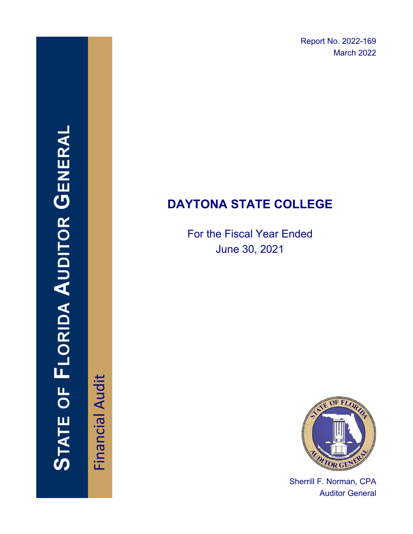Report No. 2022-169 March 2022

# **DAYTONA STATE COLLEGE**

For the Fiscal Year Ended June 30, 2021



Sherrill F. Norman, CPA Auditor General

Financial Audit Financial Audit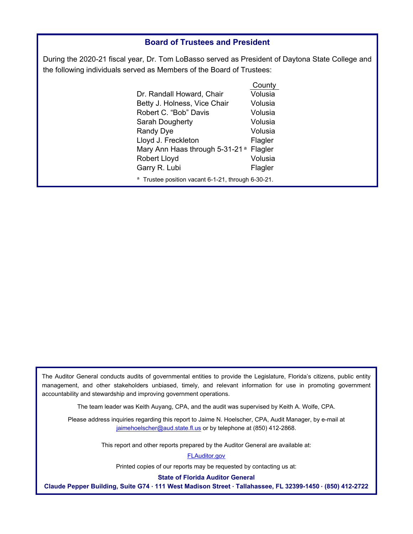### **Board of Trustees and President**

During the 2020-21 fiscal year, Dr. Tom LoBasso served as President of Daytona State College and the following individuals served as Members of the Board of Trustees:

|                                                               | County  |
|---------------------------------------------------------------|---------|
| Dr. Randall Howard, Chair                                     | Volusia |
| Betty J. Holness, Vice Chair                                  | Volusia |
| Robert C. "Bob" Davis                                         | Volusia |
| Sarah Dougherty                                               | Volusia |
| Randy Dye                                                     | Volusia |
| Lloyd J. Freckleton                                           | Flagler |
| Mary Ann Haas through 5-31-21 <sup>a</sup>                    | Flagler |
| <b>Robert Lloyd</b>                                           | Volusia |
| Garry R. Lubi                                                 | Flagler |
| <sup>a</sup> Trustee position vacant 6-1-21, through 6-30-21. |         |

The Auditor General conducts audits of governmental entities to provide the Legislature, Florida's citizens, public entity management, and other stakeholders unbiased, timely, and relevant information for use in promoting government accountability and stewardship and improving government operations.

The team leader was Keith Auyang, CPA, and the audit was supervised by Keith A. Wolfe, CPA.

Please address inquiries regarding this report to Jaime N. Hoelscher, CPA, Audit Manager, by e-mail at jaimehoelscher@aud.state.fl.us or by telephone at (850) 412-2868.

This report and other reports prepared by the Auditor General are available at:

[FLAuditor.gov](http://flauditor.gov/) 

Printed copies of our reports may be requested by contacting us at:

**State of Florida Auditor General** 

**Claude Pepper Building, Suite G74 · 111 West Madison Street · Tallahassee, FL 32399-1450 · (850) 412-2722**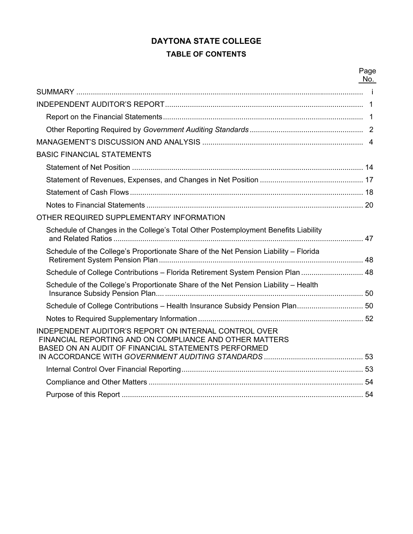## **DAYTONA STATE COLLEGE TABLE OF CONTENTS**

|                                                                                                                                                                         | Page<br><u>No.</u> |
|-------------------------------------------------------------------------------------------------------------------------------------------------------------------------|--------------------|
|                                                                                                                                                                         |                    |
|                                                                                                                                                                         |                    |
|                                                                                                                                                                         |                    |
|                                                                                                                                                                         |                    |
|                                                                                                                                                                         |                    |
| <b>BASIC FINANCIAL STATEMENTS</b>                                                                                                                                       |                    |
|                                                                                                                                                                         |                    |
|                                                                                                                                                                         |                    |
|                                                                                                                                                                         |                    |
|                                                                                                                                                                         |                    |
| OTHER REQUIRED SUPPLEMENTARY INFORMATION                                                                                                                                |                    |
| Schedule of Changes in the College's Total Other Postemployment Benefits Liability                                                                                      |                    |
| Schedule of the College's Proportionate Share of the Net Pension Liability - Florida                                                                                    |                    |
| Schedule of College Contributions - Florida Retirement System Pension Plan  48                                                                                          |                    |
| Schedule of the College's Proportionate Share of the Net Pension Liability - Health                                                                                     |                    |
| Schedule of College Contributions - Health Insurance Subsidy Pension Plan 50                                                                                            |                    |
|                                                                                                                                                                         |                    |
| INDEPENDENT AUDITOR'S REPORT ON INTERNAL CONTROL OVER<br>FINANCIAL REPORTING AND ON COMPLIANCE AND OTHER MATTERS<br>BASED ON AN AUDIT OF FINANCIAL STATEMENTS PERFORMED |                    |
|                                                                                                                                                                         |                    |
|                                                                                                                                                                         |                    |
|                                                                                                                                                                         |                    |
|                                                                                                                                                                         |                    |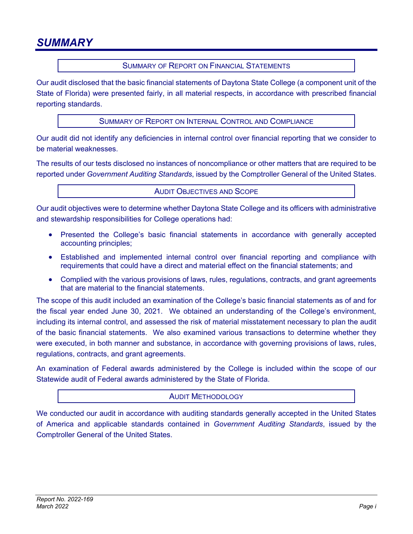### SUMMARY OF REPORT ON FINANCIAL STATEMENTS

<span id="page-3-0"></span>Our audit disclosed that the basic financial statements of Daytona State College (a component unit of the State of Florida) were presented fairly, in all material respects, in accordance with prescribed financial reporting standards.

### SUMMARY OF REPORT ON INTERNAL CONTROL AND COMPLIANCE

Our audit did not identify any deficiencies in internal control over financial reporting that we consider to be material weaknesses.

The results of our tests disclosed no instances of noncompliance or other matters that are required to be reported under *Government Auditing Standards*, issued by the Comptroller General of the United States.

### AUDIT OBJECTIVES AND SCOPE

Our audit objectives were to determine whether Daytona State College and its officers with administrative and stewardship responsibilities for College operations had:

- Presented the College's basic financial statements in accordance with generally accepted accounting principles;
- Established and implemented internal control over financial reporting and compliance with requirements that could have a direct and material effect on the financial statements; and
- Complied with the various provisions of laws, rules, regulations, contracts, and grant agreements that are material to the financial statements.

The scope of this audit included an examination of the College's basic financial statements as of and for the fiscal year ended June 30, 2021. We obtained an understanding of the College's environment, including its internal control, and assessed the risk of material misstatement necessary to plan the audit of the basic financial statements. We also examined various transactions to determine whether they were executed, in both manner and substance, in accordance with governing provisions of laws, rules, regulations, contracts, and grant agreements.

An examination of Federal awards administered by the College is included within the scope of our Statewide audit of Federal awards administered by the State of Florida.

### AUDIT METHODOLOGY

We conducted our audit in accordance with auditing standards generally accepted in the United States of America and applicable standards contained in *Government Auditing Standards*, issued by the Comptroller General of the United States.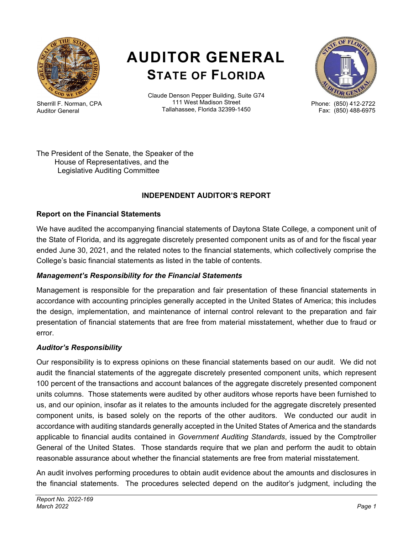<span id="page-4-0"></span>

Sherrill F. Norman, CPA Auditor General

# **AUDITOR GENERAL STATE OF FLORIDA**

Claude Denson Pepper Building, Suite G74 111 West Madison Street Tallahassee, Florida 32399-1450



Phone: (850) 412-2722 Fax: (850) 488-6975

The President of the Senate, the Speaker of the House of Representatives, and the Legislative Auditing Committee

### **INDEPENDENT AUDITOR'S REPORT**

### **Report on the Financial Statements**

We have audited the accompanying financial statements of Daytona State College, a component unit of the State of Florida, and its aggregate discretely presented component units as of and for the fiscal year ended June 30, 2021, and the related notes to the financial statements, which collectively comprise the College's basic financial statements as listed in the table of contents.

### *Management's Responsibility for the Financial Statements*

Management is responsible for the preparation and fair presentation of these financial statements in accordance with accounting principles generally accepted in the United States of America; this includes the design, implementation, and maintenance of internal control relevant to the preparation and fair presentation of financial statements that are free from material misstatement, whether due to fraud or error.

### *Auditor's Responsibility*

Our responsibility is to express opinions on these financial statements based on our audit. We did not audit the financial statements of the aggregate discretely presented component units, which represent 100 percent of the transactions and account balances of the aggregate discretely presented component units columns. Those statements were audited by other auditors whose reports have been furnished to us, and our opinion, insofar as it relates to the amounts included for the aggregate discretely presented component units, is based solely on the reports of the other auditors. We conducted our audit in accordance with auditing standards generally accepted in the United States of America and the standards applicable to financial audits contained in *Government Auditing Standards*, issued by the Comptroller General of the United States. Those standards require that we plan and perform the audit to obtain reasonable assurance about whether the financial statements are free from material misstatement.

An audit involves performing procedures to obtain audit evidence about the amounts and disclosures in the financial statements. The procedures selected depend on the auditor's judgment, including the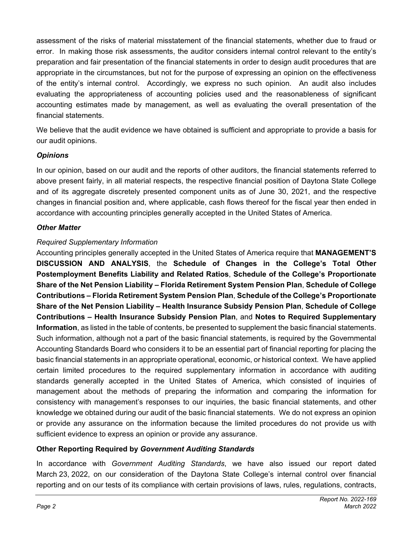<span id="page-5-0"></span>assessment of the risks of material misstatement of the financial statements, whether due to fraud or error. In making those risk assessments, the auditor considers internal control relevant to the entity's preparation and fair presentation of the financial statements in order to design audit procedures that are appropriate in the circumstances, but not for the purpose of expressing an opinion on the effectiveness of the entity's internal control. Accordingly, we express no such opinion. An audit also includes evaluating the appropriateness of accounting policies used and the reasonableness of significant accounting estimates made by management, as well as evaluating the overall presentation of the financial statements.

We believe that the audit evidence we have obtained is sufficient and appropriate to provide a basis for our audit opinions.

### *Opinions*

In our opinion, based on our audit and the reports of other auditors, the financial statements referred to above present fairly, in all material respects, the respective financial position of Daytona State College and of its aggregate discretely presented component units as of June 30, 2021, and the respective changes in financial position and, where applicable, cash flows thereof for the fiscal year then ended in accordance with accounting principles generally accepted in the United States of America.

### *Other Matter*

### *Required Supplementary Information*

Accounting principles generally accepted in the United States of America require that **MANAGEMENT'S DISCUSSION AND ANALYSIS**, the **Schedule of Changes in the College's Total Other Postemployment Benefits Liability and Related Ratios**, **Schedule of the College's Proportionate Share of the Net Pension Liability – Florida Retirement System Pension Plan**, **Schedule of College Contributions – Florida Retirement System Pension Plan**, **Schedule of the College's Proportionate Share of the Net Pension Liability – Health Insurance Subsidy Pension Plan**, **Schedule of College Contributions – Health Insurance Subsidy Pension Plan**, and **Notes to Required Supplementary Information**, as listed in the table of contents, be presented to supplement the basic financial statements. Such information, although not a part of the basic financial statements, is required by the Governmental Accounting Standards Board who considers it to be an essential part of financial reporting for placing the basic financial statements in an appropriate operational, economic, or historical context. We have applied certain limited procedures to the required supplementary information in accordance with auditing standards generally accepted in the United States of America, which consisted of inquiries of management about the methods of preparing the information and comparing the information for consistency with management's responses to our inquiries, the basic financial statements, and other knowledge we obtained during our audit of the basic financial statements. We do not express an opinion or provide any assurance on the information because the limited procedures do not provide us with sufficient evidence to express an opinion or provide any assurance.

### **Other Reporting Required by** *Government Auditing Standards*

In accordance with *Government Auditing Standards*, we have also issued our report dated March 23, 2022, on our consideration of the Daytona State College's internal control over financial reporting and on our tests of its compliance with certain provisions of laws, rules, regulations, contracts,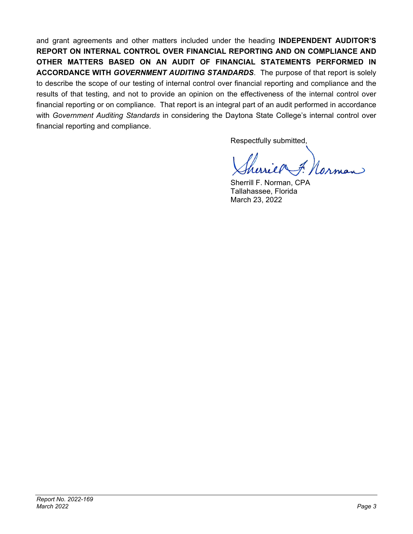and grant agreements and other matters included under the heading **INDEPENDENT AUDITOR'S REPORT ON INTERNAL CONTROL OVER FINANCIAL REPORTING AND ON COMPLIANCE AND OTHER MATTERS BASED ON AN AUDIT OF FINANCIAL STATEMENTS PERFORMED IN ACCORDANCE WITH** *GOVERNMENT AUDITING STANDARDS*. The purpose of that report is solely to describe the scope of our testing of internal control over financial reporting and compliance and the results of that testing, and not to provide an opinion on the effectiveness of the internal control over financial reporting or on compliance. That report is an integral part of an audit performed in accordance with *Government Auditing Standards* in considering the Daytona State College's internal control over financial reporting and compliance.

Respectfully submitted,

Sherrill F. Norman, CPA Tallahassee, Florida March 23, 2022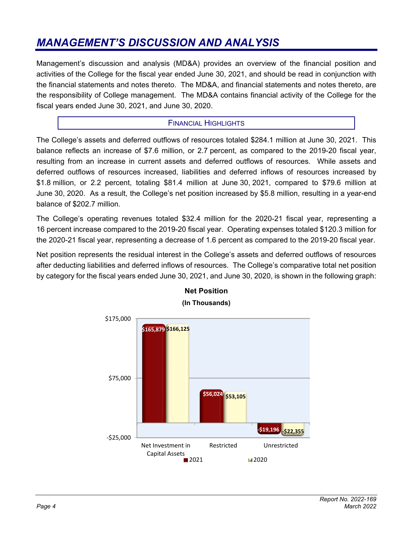## <span id="page-7-0"></span>*MANAGEMENT'S DISCUSSION AND ANALYSIS*

Management's discussion and analysis (MD&A) provides an overview of the financial position and activities of the College for the fiscal year ended June 30, 2021, and should be read in conjunction with the financial statements and notes thereto. The MD&A, and financial statements and notes thereto, are the responsibility of College management. The MD&A contains financial activity of the College for the fiscal years ended June 30, 2021, and June 30, 2020.

### FINANCIAL HIGHLIGHTS

The College's assets and deferred outflows of resources totaled \$284.1 million at June 30, 2021. This balance reflects an increase of \$7.6 million, or 2.7 percent, as compared to the 2019-20 fiscal year, resulting from an increase in current assets and deferred outflows of resources. While assets and deferred outflows of resources increased, liabilities and deferred inflows of resources increased by \$1.8 million, or 2.2 percent, totaling \$81.4 million at June 30, 2021, compared to \$79.6 million at June 30, 2020. As a result, the College's net position increased by \$5.8 million, resulting in a year-end balance of \$202.7 million.

The College's operating revenues totaled \$32.4 million for the 2020-21 fiscal year, representing a 16 percent increase compared to the 2019-20 fiscal year. Operating expenses totaled \$120.3 million for the 2020-21 fiscal year, representing a decrease of 1.6 percent as compared to the 2019-20 fiscal year.

Net position represents the residual interest in the College's assets and deferred outflows of resources after deducting liabilities and deferred inflows of resources. The College's comparative total net position by category for the fiscal years ended June 30, 2021, and June 30, 2020, is shown in the following graph:



## **Net Position (In Thousands)**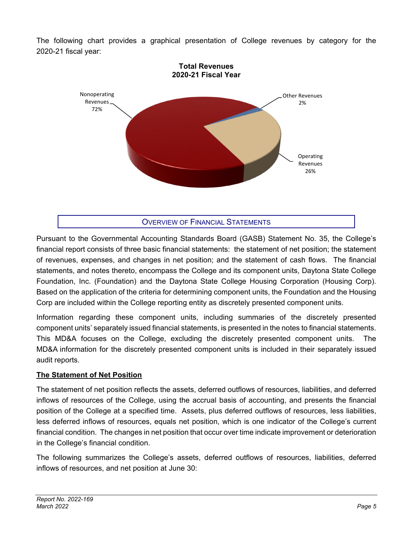The following chart provides a graphical presentation of College revenues by category for the 2020-21 fiscal year:



### OVERVIEW OF FINANCIAL STATEMENTS

Pursuant to the Governmental Accounting Standards Board (GASB) Statement No. 35, the College's financial report consists of three basic financial statements: the statement of net position; the statement of revenues, expenses, and changes in net position; and the statement of cash flows. The financial statements, and notes thereto, encompass the College and its component units, Daytona State College Foundation, Inc. (Foundation) and the Daytona State College Housing Corporation (Housing Corp). Based on the application of the criteria for determining component units, the Foundation and the Housing Corp are included within the College reporting entity as discretely presented component units.

Information regarding these component units, including summaries of the discretely presented component units' separately issued financial statements, is presented in the notes to financial statements. This MD&A focuses on the College, excluding the discretely presented component units. The MD&A information for the discretely presented component units is included in their separately issued audit reports.

### **The Statement of Net Position**

The statement of net position reflects the assets, deferred outflows of resources, liabilities, and deferred inflows of resources of the College, using the accrual basis of accounting, and presents the financial position of the College at a specified time. Assets, plus deferred outflows of resources, less liabilities, less deferred inflows of resources, equals net position, which is one indicator of the College's current financial condition. The changes in net position that occur over time indicate improvement or deterioration in the College's financial condition.

The following summarizes the College's assets, deferred outflows of resources, liabilities, deferred inflows of resources, and net position at June 30: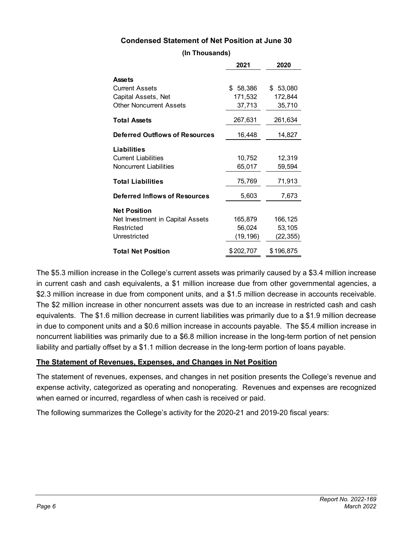### **Condensed Statement of Net Position at June 30**

**(In Thousands)** 

|                                       | 2021         | 2020         |
|---------------------------------------|--------------|--------------|
| <b>Assets</b>                         |              |              |
| <b>Current Assets</b>                 | 58,386<br>\$ | 53,080<br>\$ |
| Capital Assets, Net                   | 171,532      | 172,844      |
| <b>Other Noncurrent Assets</b>        | 37,713       | 35,710       |
| <b>Total Assets</b>                   | 267,631      | 261,634      |
| <b>Deferred Outflows of Resources</b> | 16,448       | 14,827       |
| Liabilities                           |              |              |
| <b>Current Liabilities</b>            | 10,752       | 12,319       |
| <b>Noncurrent Liabilities</b>         | 65,017       | 59,594       |
| <b>Total Liabilities</b>              | 75,769       | 71,913       |
| <b>Deferred Inflows of Resources</b>  | 5,603        | 7,673        |
| <b>Net Position</b>                   |              |              |
| Net Investment in Capital Assets      | 165,879      | 166,125      |
| Restricted                            | 56,024       | 53,105       |
| Unrestricted                          | (19, 196)    | (22,355)     |
| <b>Total Net Position</b>             | \$202,707    | \$196,875    |

The \$5.3 million increase in the College's current assets was primarily caused by a \$3.4 million increase in current cash and cash equivalents, a \$1 million increase due from other governmental agencies, a \$2.3 million increase in due from component units, and a \$1.5 million decrease in accounts receivable. The \$2 million increase in other noncurrent assets was due to an increase in restricted cash and cash equivalents. The \$1.6 million decrease in current liabilities was primarily due to a \$1.9 million decrease in due to component units and a \$0.6 million increase in accounts payable. The \$5.4 million increase in noncurrent liabilities was primarily due to a \$6.8 million increase in the long-term portion of net pension liability and partially offset by a \$1.1 million decrease in the long-term portion of loans payable.

### **The Statement of Revenues, Expenses, and Changes in Net Position**

The statement of revenues, expenses, and changes in net position presents the College's revenue and expense activity, categorized as operating and nonoperating. Revenues and expenses are recognized when earned or incurred, regardless of when cash is received or paid.

The following summarizes the College's activity for the 2020-21 and 2019-20 fiscal years: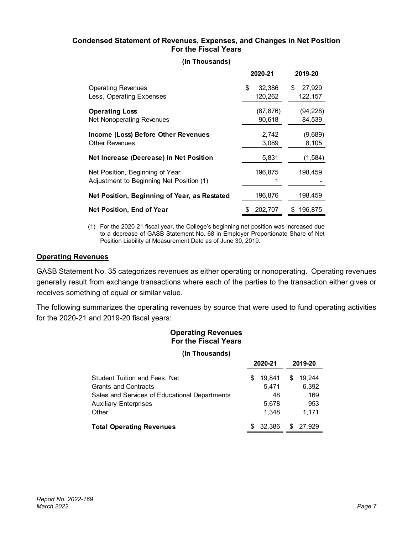### **Condensed Statement of Revenues, Expenses, and Changes in Net Position For the Fiscal Years**

**(In Thousands)** 

|                                                                             | 2020-21                 | 2019-20                  |
|-----------------------------------------------------------------------------|-------------------------|--------------------------|
| <b>Operating Revenues</b><br>Less, Operating Expenses                       | \$<br>32,386<br>120,262 | \$<br>27,929<br>122, 157 |
| <b>Operating Loss</b><br>Net Nonoperating Revenues                          | (87, 876)<br>90,618     | (94, 228)<br>84,539      |
| Income (Loss) Before Other Revenues<br><b>Other Revenues</b>                | 2,742<br>3,089          | (9,689)<br>8,105         |
| Net Increase (Decrease) In Net Position                                     | 5,831                   | (1, 584)                 |
| Net Position, Beginning of Year<br>Adjustment to Beginning Net Position (1) | 196,875                 | 198,459                  |
| Net Position, Beginning of Year, as Restated                                | 196,876                 | 198,459                  |
| Net Position, End of Year                                                   | 202.707<br>\$           | 196.875<br>\$            |

(1) For the 2020-21 fiscal year, the College's beginning net position was increased due to a decrease of GASB Statement No. 68 in Employer Proportionate Share of Net Position Liability at Measurement Date as of June 30, 2019.

### **Operating Revenues**

GASB Statement No. 35 categorizes revenues as either operating or nonoperating. Operating revenues generally result from exchange transactions where each of the parties to the transaction either gives or receives something of equal or similar value.

The following summarizes the operating revenues by source that were used to fund operating activities for the 2020-21 and 2019-20 fiscal years:

### **Operating Revenues For the Fiscal Years**

**(In Thousands)** 

|                                               | 2020-21 |        | 2019-20 |          |
|-----------------------------------------------|---------|--------|---------|----------|
| Student Tuition and Fees, Net                 | S.      | 19.841 | S       | 19.244   |
| <b>Grants and Contracts</b>                   |         | 5.471  |         | 6,392    |
| Sales and Services of Educational Departments |         | 48     |         | 169      |
| Auxiliary Enterprises                         |         | 5.678  |         | 953      |
| Other                                         |         | 1.348  |         | 1,171    |
| <b>Total Operating Revenues</b>               |         | 32.386 |         | \$27,929 |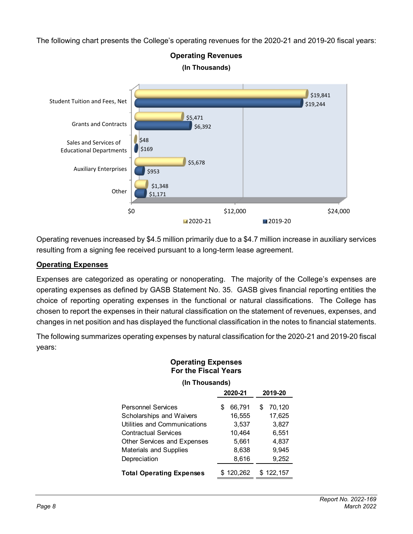The following chart presents the College's operating revenues for the 2020-21 and 2019-20 fiscal years:



Operating revenues increased by \$4.5 million primarily due to a \$4.7 million increase in auxiliary services resulting from a signing fee received pursuant to a long-term lease agreement.

### **Operating Expenses**

Expenses are categorized as operating or nonoperating. The majority of the College's expenses are operating expenses as defined by GASB Statement No. 35. GASB gives financial reporting entities the choice of reporting operating expenses in the functional or natural classifications. The College has chosen to report the expenses in their natural classification on the statement of revenues, expenses, and changes in net position and has displayed the functional classification in the notes to financial statements.

The following summarizes operating expenses by natural classification for the 2020-21 and 2019-20 fiscal years:

#### **Operating Expenses For the Fiscal Years (In Thousands)**

| (in Thousands)                                                                                         |                                           |                                         |  |  |
|--------------------------------------------------------------------------------------------------------|-------------------------------------------|-----------------------------------------|--|--|
|                                                                                                        | 2020-21                                   | 2019-20                                 |  |  |
| Personnel Services<br>Scholarships and Waivers<br>Utilities and Communications<br>Contractual Services | 66,791<br>\$<br>16,555<br>3,537<br>10,464 | 70,120<br>S<br>17,625<br>3,827<br>6,551 |  |  |
| <b>Other Services and Expenses</b><br><b>Materials and Supplies</b><br>Depreciation                    | 5,661<br>8,638<br>8,616                   | 4,837<br>9,945<br>9,252                 |  |  |
| <b>Total Operating Expenses</b>                                                                        | \$120,262                                 | \$122,157                               |  |  |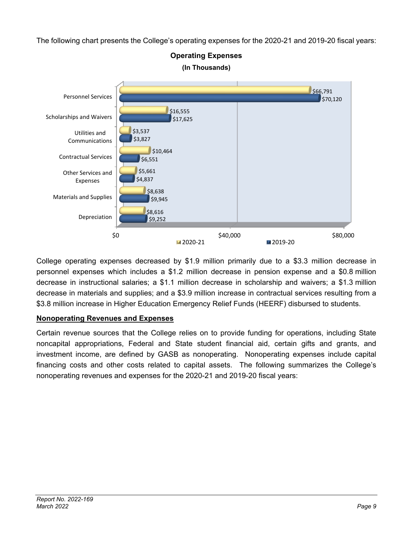The following chart presents the College's operating expenses for the 2020-21 and 2019-20 fiscal years:



College operating expenses decreased by \$1.9 million primarily due to a \$3.3 million decrease in personnel expenses which includes a \$1.2 million decrease in pension expense and a \$0.8 million decrease in instructional salaries; a \$1.1 million decrease in scholarship and waivers; a \$1.3 million decrease in materials and supplies; and a \$3.9 million increase in contractual services resulting from a \$3.8 million increase in Higher Education Emergency Relief Funds (HEERF) disbursed to students.

### **Nonoperating Revenues and Expenses**

Certain revenue sources that the College relies on to provide funding for operations, including State noncapital appropriations, Federal and State student financial aid, certain gifts and grants, and investment income, are defined by GASB as nonoperating. Nonoperating expenses include capital financing costs and other costs related to capital assets. The following summarizes the College's nonoperating revenues and expenses for the 2020-21 and 2019-20 fiscal years: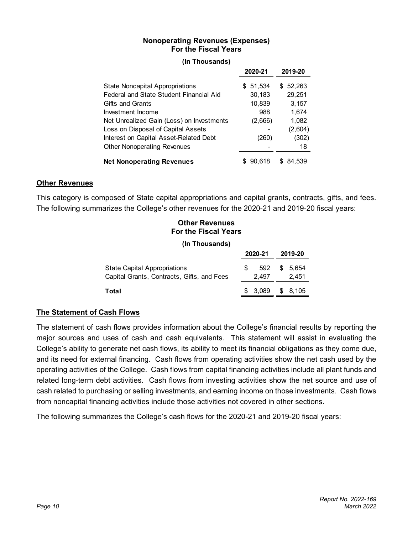### **Nonoperating Revenues (Expenses) For the Fiscal Years**

### **(In Thousands)**

|                                                                                                       | 2020-21                      | 2019-20                         |
|-------------------------------------------------------------------------------------------------------|------------------------------|---------------------------------|
| <b>State Noncapital Appropriations</b><br>Federal and State Student Financial Aid<br>Gifts and Grants | \$51,534<br>30,183<br>10,839 | 52,263<br>\$<br>29,251<br>3,157 |
| Investment Income<br>Net Unrealized Gain (Loss) on Investments                                        | 988<br>(2,666)               | 1,674<br>1,082                  |
| Loss on Disposal of Capital Assets                                                                    |                              | (2,604)                         |
| Interest on Capital Asset-Related Debt<br><b>Other Nonoperating Revenues</b>                          | (260)                        | (302)<br>18                     |
| <b>Net Nonoperating Revenues</b>                                                                      | 90.618                       | 84.539<br>S                     |

### **Other Revenues**

This category is composed of State capital appropriations and capital grants, contracts, gifts, and fees. The following summarizes the College's other revenues for the 2020-21 and 2019-20 fiscal years:

### **Other Revenues For the Fiscal Years**

### **(In Thousands)**

|                                                                                   | 2020-21           | 2019-20               |
|-----------------------------------------------------------------------------------|-------------------|-----------------------|
| <b>State Capital Appropriations</b><br>Capital Grants, Contracts, Gifts, and Fees | 2.497             | 592 \$ 5.654<br>2.451 |
| Total                                                                             | $$3,089$ $$8,105$ |                       |

### **The Statement of Cash Flows**

The statement of cash flows provides information about the College's financial results by reporting the major sources and uses of cash and cash equivalents. This statement will assist in evaluating the College's ability to generate net cash flows, its ability to meet its financial obligations as they come due, and its need for external financing. Cash flows from operating activities show the net cash used by the operating activities of the College. Cash flows from capital financing activities include all plant funds and related long-term debt activities. Cash flows from investing activities show the net source and use of cash related to purchasing or selling investments, and earning income on those investments. Cash flows from noncapital financing activities include those activities not covered in other sections.

The following summarizes the College's cash flows for the 2020-21 and 2019-20 fiscal years: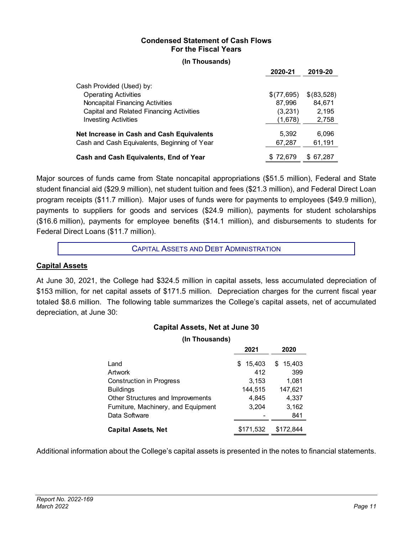### **Condensed Statement of Cash Flows For the Fiscal Years**

### **(In Thousands)**

**2020-21 2019-20**

|                                                                                | ZUZU-Z I           | 2019-20        |
|--------------------------------------------------------------------------------|--------------------|----------------|
| Cash Provided (Used) by:<br><b>Operating Activities</b>                        | \$(77,695)         | \$(83,528)     |
| Noncapital Financing Activities                                                | 87,996             | 84.671         |
| <b>Capital and Related Financing Activities</b><br><b>Investing Activities</b> | (3,231)<br>(1,678) | 2,195<br>2,758 |
| Net Increase in Cash and Cash Equivalents                                      | 5,392              | 6,096          |
| Cash and Cash Equivalents, Beginning of Year                                   | 67,287             | 61,191         |
| Cash and Cash Equivalents, End of Year                                         | \$72,679           | \$67.287       |

Major sources of funds came from State noncapital appropriations (\$51.5 million), Federal and State student financial aid (\$29.9 million), net student tuition and fees (\$21.3 million), and Federal Direct Loan program receipts (\$11.7 million). Major uses of funds were for payments to employees (\$49.9 million), payments to suppliers for goods and services (\$24.9 million), payments for student scholarships (\$16.6 million), payments for employee benefits (\$14.1 million), and disbursements to students for Federal Direct Loans (\$11.7 million).

CAPITAL ASSETS AND DEBT ADMINISTRATION

### **Capital Assets**

At June 30, 2021, the College had \$324.5 million in capital assets, less accumulated depreciation of \$153 million, for net capital assets of \$171.5 million. Depreciation charges for the current fiscal year totaled \$8.6 million. The following table summarizes the College's capital assets, net of accumulated depreciation, at June 30:

### **Capital Assets, Net at June 30**

| (In Thousands)                      |               |           |  |  |  |
|-------------------------------------|---------------|-----------|--|--|--|
|                                     | 2021          | 2020      |  |  |  |
| Land                                | 15,403<br>\$. | \$15,403  |  |  |  |
| Artwork                             | 412           | 399       |  |  |  |
| <b>Construction in Progress</b>     | 3,153         | 1,081     |  |  |  |
| <b>Buildings</b>                    | 144,515       | 147,621   |  |  |  |
| Other Structures and Improvements   | 4,845         | 4,337     |  |  |  |
| Furniture, Machinery, and Equipment | 3,204         | 3,162     |  |  |  |
| Data Software                       |               | 841       |  |  |  |
| <b>Capital Assets, Net</b>          | \$171,532     | \$172,844 |  |  |  |

Additional information about the College's capital assets is presented in the notes to financial statements.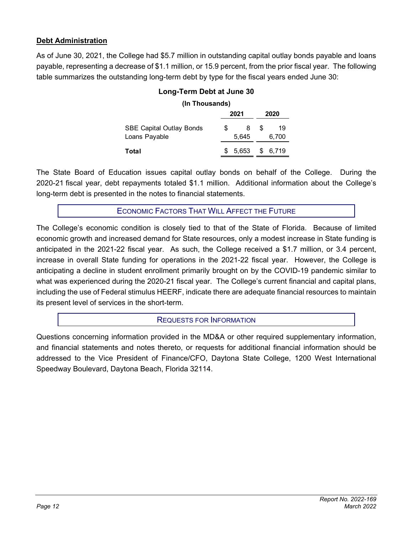### **Debt Administration**

As of June 30, 2021, the College had \$5.7 million in outstanding capital outlay bonds payable and loans payable, representing a decrease of \$1.1 million, or 15.9 percent, from the prior fiscal year. The following table summarizes the outstanding long-term debt by type for the fiscal years ended June 30:

### **Long-Term Debt at June 30**

| (In Thousands)                                   |      |            |  |             |  |  |
|--------------------------------------------------|------|------------|--|-------------|--|--|
|                                                  | 2021 |            |  | 2020        |  |  |
| <b>SBE Capital Outlay Bonds</b><br>Loans Payable | \$   | 8<br>5,645 |  | 19<br>6,700 |  |  |
| Total                                            |      | 5,653      |  | \$ 6,719    |  |  |

The State Board of Education issues capital outlay bonds on behalf of the College. During the 2020-21 fiscal year, debt repayments totaled \$1.1 million. Additional information about the College's long-term debt is presented in the notes to financial statements.

### ECONOMIC FACTORS THAT WILL AFFECT THE FUTURE

The College's economic condition is closely tied to that of the State of Florida. Because of limited economic growth and increased demand for State resources, only a modest increase in State funding is anticipated in the 2021-22 fiscal year. As such, the College received a \$1.7 million, or 3.4 percent, increase in overall State funding for operations in the 2021-22 fiscal year. However, the College is anticipating a decline in student enrollment primarily brought on by the COVID-19 pandemic similar to what was experienced during the 2020-21 fiscal year. The College's current financial and capital plans, including the use of Federal stimulus HEERF, indicate there are adequate financial resources to maintain its present level of services in the short-term.

### REQUESTS FOR INFORMATION

Questions concerning information provided in the MD&A or other required supplementary information, and financial statements and notes thereto, or requests for additional financial information should be addressed to the Vice President of Finance/CFO, Daytona State College, 1200 West International Speedway Boulevard, Daytona Beach, Florida 32114.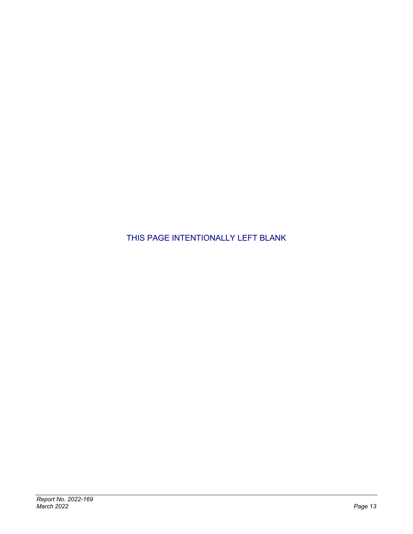THIS PAGE INTENTIONALLY LEFT BLANK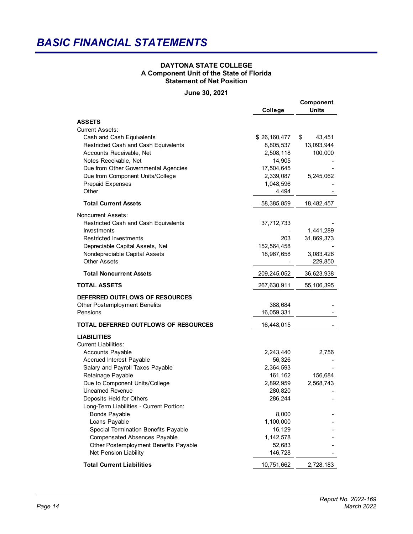## <span id="page-17-0"></span>*BASIC FINANCIAL STATEMENTS*

#### **DAYTONA STATE COLLEGE A Component Unit of the State of Florida Statement of Net Position**

**June 30, 2021** 

|                                                                      | College            | Component<br>Units |
|----------------------------------------------------------------------|--------------------|--------------------|
| <b>ASSETS</b>                                                        |                    |                    |
| Current Assets:                                                      |                    |                    |
| Cash and Cash Equivalents                                            | \$26,160,477       | \$<br>43,451       |
| Restricted Cash and Cash Equivalents                                 | 8,805,537          | 13,093,944         |
| Accounts Receivable, Net                                             | 2,508,118          | 100,000            |
| Notes Receivable, Net                                                | 14,905             |                    |
| Due from Other Governmental Agencies                                 | 17,504,645         |                    |
| Due from Component Units/College                                     | 2,339,087          | 5,245,062          |
| <b>Prepaid Expenses</b><br>Other                                     | 1,048,596<br>4,494 |                    |
| <b>Total Current Assets</b>                                          | 58,385,859         | 18,482,457         |
|                                                                      |                    |                    |
| Noncurrent Assets:<br>Restricted Cash and Cash Equivalents           | 37,712,733         |                    |
| Investments                                                          |                    | 1,441,289          |
| Restricted Investments                                               | 203                | 31,869,373         |
| Depreciable Capital Assets, Net                                      | 152,564,458        |                    |
| Nondepreciable Capital Assets                                        | 18,967,658         | 3,083,426          |
| <b>Other Assets</b>                                                  |                    | 229,850            |
| <b>Total Noncurrent Assets</b>                                       | 209,245,052        | 36,623,938         |
| <b>TOTAL ASSETS</b>                                                  | 267,630,911        | 55, 106, 395       |
| DEFERRED OUTFLOWS OF RESOURCES                                       |                    |                    |
| <b>Other Postemployment Benefits</b>                                 | 388,684            |                    |
| Pensions                                                             | 16,059,331         |                    |
| TOTAL DEFERRED OUTFLOWS OF RESOURCES                                 | 16,448,015         |                    |
| <b>LIABILITIES</b>                                                   |                    |                    |
| <b>Current Liabilities:</b>                                          |                    |                    |
| <b>Accounts Payable</b>                                              | 2,243,440          | 2,756              |
| Accrued Interest Payable                                             | 56,326             |                    |
| Salary and Payroll Taxes Payable                                     | 2,364,593          |                    |
| Retainage Payable                                                    | 161,162            | 156,684            |
| Due to Component Units/College                                       | 2,892,959          | 2,568,743          |
| <b>Unearned Revenue</b>                                              | 280,820            |                    |
| Deposits Held for Others<br>Long-Term Liabilities - Current Portion: | 286,244            |                    |
| <b>Bonds Payable</b>                                                 | 8,000              |                    |
| Loans Payable                                                        | 1,100,000          |                    |
| Special Termination Benefits Payable                                 | 16,129             |                    |
| <b>Compensated Absences Payable</b>                                  | 1,142,578          |                    |
| Other Postemployment Benefits Payable                                | 52,683             |                    |
| Net Pension Liability                                                | 146,728            |                    |
| <b>Total Current Liabilities</b>                                     | 10,751,662         | 2,728,183          |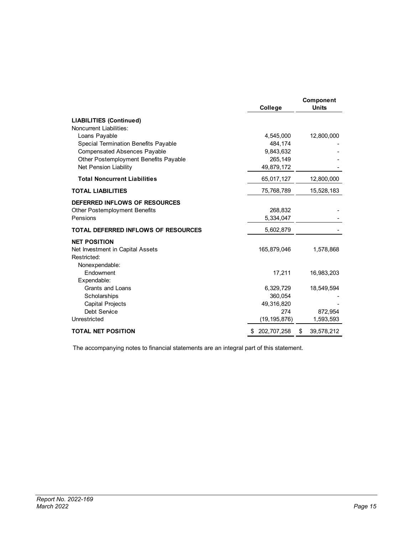|                                                           |                  | Component        |
|-----------------------------------------------------------|------------------|------------------|
|                                                           | College          | <b>Units</b>     |
| <b>LIABILITIES (Continued)</b><br>Noncurrent Liabilities: |                  |                  |
| Loans Payable                                             | 4,545,000        | 12,800,000       |
| Special Termination Benefits Payable                      | 484,174          |                  |
| <b>Compensated Absences Payable</b>                       | 9,843,632        |                  |
| Other Postemployment Benefits Payable                     | 265,149          |                  |
| Net Pension Liability                                     | 49,879,172       |                  |
| <b>Total Noncurrent Liabilities</b>                       | 65,017,127       | 12,800,000       |
| <b>TOTAL LIABILITIES</b>                                  | 75,768,789       | 15,528,183       |
| DEFERRED INFLOWS OF RESOURCES                             |                  |                  |
| <b>Other Postemployment Benefits</b>                      | 268,832          |                  |
| Pensions                                                  | 5,334,047        |                  |
| <b>TOTAL DEFERRED INFLOWS OF RESOURCES</b>                | 5,602,879        |                  |
| <b>NET POSITION</b>                                       |                  |                  |
| Net Investment in Capital Assets                          | 165,879,046      | 1,578,868        |
| Restricted:                                               |                  |                  |
| Nonexpendable:                                            |                  |                  |
| Endowment                                                 | 17,211           | 16,983,203       |
| Expendable:                                               |                  |                  |
| Grants and Loans                                          | 6,329,729        | 18,549,594       |
| Scholarships                                              | 360,054          |                  |
| <b>Capital Projects</b>                                   | 49,316,820       |                  |
| Debt Service                                              | 274              | 872,954          |
| Unrestricted                                              | (19, 195, 876)   | 1,593,593        |
| <b>TOTAL NET POSITION</b>                                 | 202,707,258<br>S | 39,578,212<br>\$ |

The accompanying notes to financial statements are an integral part of this statement.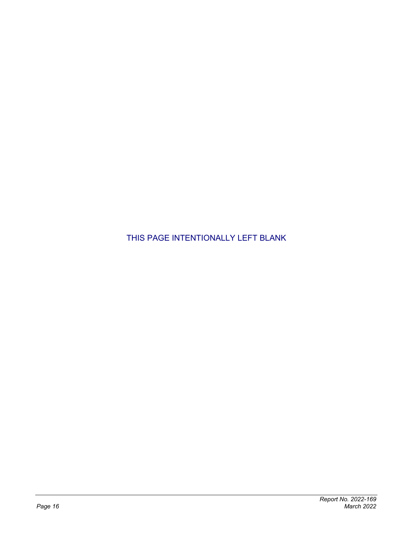THIS PAGE INTENTIONALLY LEFT BLANK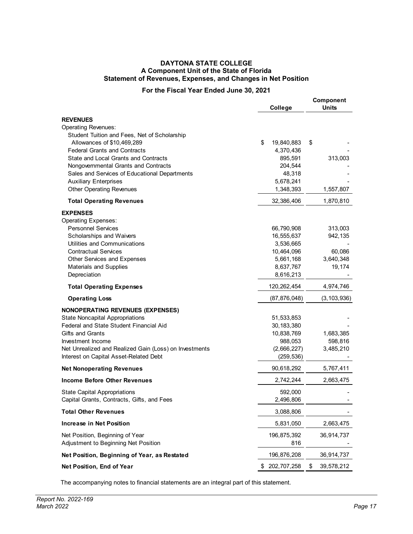#### **DAYTONA STATE COLLEGE A Component Unit of the State of Florida Statement of Revenues, Expenses, and Changes in Net Position**

### **For the Fiscal Year Ended June 30, 2021**

<span id="page-20-0"></span>

|                                                        |                  | Component        |
|--------------------------------------------------------|------------------|------------------|
|                                                        | College          | <b>Units</b>     |
| <b>REVENUES</b>                                        |                  |                  |
| <b>Operating Revenues:</b>                             |                  |                  |
| Student Tuition and Fees, Net of Scholarship           |                  |                  |
| Allowances of \$10,469,289                             | \$<br>19,840,883 | \$               |
| <b>Federal Grants and Contracts</b>                    | 4,370,436        |                  |
| State and Local Grants and Contracts                   | 895,591          | 313,003          |
| Nongovernmental Grants and Contracts                   | 204,544          |                  |
| Sales and Services of Educational Departments          | 48,318           |                  |
| <b>Auxiliary Enterprises</b>                           | 5,678,241        |                  |
| <b>Other Operating Revenues</b>                        | 1,348,393        | 1,557,807        |
| <b>Total Operating Revenues</b>                        | 32,386,406       | 1,870,810        |
| <b>EXPENSES</b>                                        |                  |                  |
| <b>Operating Expenses:</b>                             |                  |                  |
| <b>Personnel Services</b>                              | 66,790,908       | 313,003          |
| Scholarships and Waivers                               | 16,555,637       | 942,135          |
| Utilities and Communications                           | 3,536,665        |                  |
| <b>Contractual Services</b>                            | 10,464,096       | 60,086           |
| Other Services and Expenses                            | 5,661,168        | 3,640,348        |
| <b>Materials and Supplies</b>                          | 8,637,767        | 19,174           |
| Depreciation                                           | 8,616,213        |                  |
| <b>Total Operating Expenses</b>                        | 120,262,454      | 4,974,746        |
| <b>Operating Loss</b>                                  | (87, 876, 048)   | (3, 103, 936)    |
| <b>NONOPERATING REVENUES (EXPENSES)</b>                |                  |                  |
| <b>State Noncapital Appropriations</b>                 | 51,533,853       |                  |
| Federal and State Student Financial Aid                | 30, 183, 380     |                  |
| Gifts and Grants                                       | 10,838,769       | 1,683,385        |
| Investment Income                                      | 988,053          | 598,816          |
| Net Unrealized and Realized Gain (Loss) on Investments | (2,666,227)      | 3,485,210        |
| Interest on Capital Asset-Related Debt                 | (259, 536)       |                  |
| <b>Net Nonoperating Revenues</b>                       | 90,618,292       | 5,767,411        |
| Income Before Other Revenues                           | 2,742,244        | 2,663,475        |
| State Capital Appropriations                           | 592,000          |                  |
| Capital Grants, Contracts, Gifts, and Fees             | 2,496,806        |                  |
| <b>Total Other Revenues</b>                            | 3,088,806        |                  |
| <b>Increase in Net Position</b>                        | 5,831,050        | 2,663,475        |
| Net Position, Beginning of Year                        | 196,875,392      | 36,914,737       |
| Adjustment to Beginning Net Position                   | 816              |                  |
| Net Position, Beginning of Year, as Restated           | 196,876,208      | 36,914,737       |
| Net Position, End of Year                              | 202,707,258      | \$<br>39,578,212 |

The accompanying notes to financial statements are an integral part of this statement.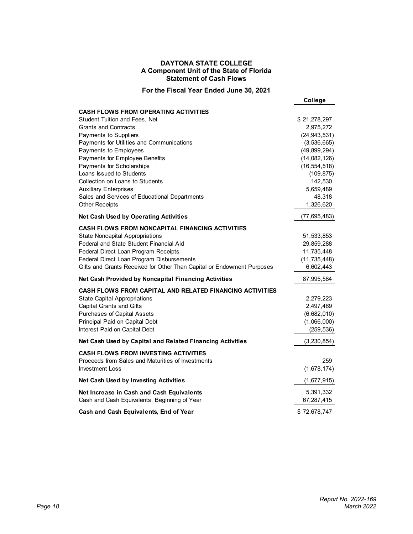#### **DAYTONA STATE COLLEGE A Component Unit of the State of Florida Statement of Cash Flows**

**For the Fiscal Year Ended June 30, 2021** 

<span id="page-21-0"></span>

|                                                                        | College        |
|------------------------------------------------------------------------|----------------|
| <b>CASH FLOWS FROM OPERATING ACTIVITIES</b>                            |                |
| <b>Student Tuition and Fees, Net</b>                                   | \$21,278,297   |
| <b>Grants and Contracts</b>                                            | 2,975,272      |
| Payments to Suppliers                                                  | (24, 943, 531) |
| Payments for Utilities and Communications                              | (3,536,665)    |
| Payments to Employees                                                  | (49, 899, 294) |
| Payments for Employee Benefits                                         | (14,082,126)   |
| Payments for Scholarships                                              | (16, 554, 518) |
| Loans Issued to Students                                               | (109, 875)     |
| Collection on Loans to Students                                        | 142,530        |
| <b>Auxiliary Enterprises</b>                                           | 5,659,489      |
| Sales and Services of Educational Departments                          | 48,318         |
| <b>Other Receipts</b>                                                  | 1,326,620      |
| <b>Net Cash Used by Operating Activities</b>                           | (77, 695, 483) |
| CASH FLOWS FROM NONCAPITAL FINANCING ACTIVITIES                        |                |
| <b>State Noncapital Appropriations</b>                                 | 51,533,853     |
| Federal and State Student Financial Aid                                | 29,859,288     |
| Federal Direct Loan Program Receipts                                   | 11,735,448     |
| Federal Direct Loan Program Disbursements                              | (11, 735, 448) |
| Gifts and Grants Received for Other Than Capital or Endowment Purposes | 6,602,443      |
| <b>Net Cash Provided by Noncapital Financing Activities</b>            | 87,995,584     |
| CASH FLOWS FROM CAPITAL AND RELATED FINANCING ACTIVITIES               |                |
| <b>State Capital Appropriations</b>                                    | 2,279,223      |
| Capital Grants and Gifts                                               | 2,497,469      |
| Purchases of Capital Assets                                            | (6,682,010)    |
| Principal Paid on Capital Debt                                         | (1,066,000)    |
| Interest Paid on Capital Debt                                          | (259, 536)     |
| Net Cash Used by Capital and Related Financing Activities              | (3,230,854)    |
| <b>CASH FLOWS FROM INVESTING ACTIVITIES</b>                            |                |
| Proceeds from Sales and Maturities of Investments                      | 259            |
| <b>Investment Loss</b>                                                 | (1,678,174)    |
| Net Cash Used by Investing Activities                                  | (1,677,915)    |
| Net Increase in Cash and Cash Equivalents                              | 5,391,332      |
| Cash and Cash Equivalents, Beginning of Year                           | 67,287,415     |
|                                                                        |                |
| Cash and Cash Equivalents, End of Year                                 | \$72,678,747   |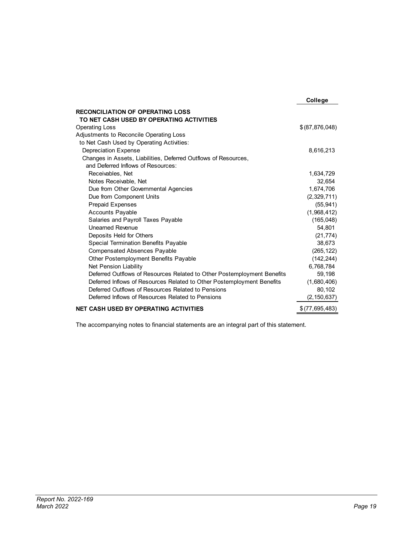|                                                                                                       | College          |
|-------------------------------------------------------------------------------------------------------|------------------|
| <b>RECONCILIATION OF OPERATING LOSS</b><br>TO NET CASH USED BY OPERATING ACTIVITIES                   |                  |
| <b>Operating Loss</b>                                                                                 | \$(87, 876, 048) |
| Adjustments to Reconcile Operating Loss                                                               |                  |
| to Net Cash Used by Operating Activities:                                                             |                  |
| <b>Depreciation Expense</b>                                                                           | 8,616,213        |
| Changes in Assets, Liabilities, Deferred Outflows of Resources,<br>and Deferred Inflows of Resources: |                  |
| Receivables, Net                                                                                      | 1,634,729        |
| Notes Receivable, Net                                                                                 | 32,654           |
| Due from Other Governmental Agencies                                                                  | 1,674,706        |
| Due from Component Units                                                                              | (2,329,711)      |
| <b>Prepaid Expenses</b>                                                                               | (55, 941)        |
| <b>Accounts Payable</b>                                                                               | (1,968,412)      |
| Salaries and Payroll Taxes Payable                                                                    | (165, 048)       |
| Unearned Revenue                                                                                      | 54,801           |
| Deposits Held for Others                                                                              | (21, 774)        |
| Special Termination Benefits Payable                                                                  | 38,673           |
| <b>Compensated Absences Payable</b>                                                                   | (265, 122)       |
| Other Postemployment Benefits Payable                                                                 | (142, 244)       |
| <b>Net Pension Liability</b>                                                                          | 6,768,784        |
| Deferred Outflows of Resources Related to Other Postemployment Benefits                               | 59,198           |
| Deferred Inflows of Resources Related to Other Postemployment Benefits                                | (1,680,406)      |
| Deferred Outflows of Resources Related to Pensions                                                    | 80,102           |
| Deferred Inflows of Resources Related to Pensions                                                     | (2, 150, 637)    |
| <b>NET CASH USED BY OPERATING ACTIVITIES</b>                                                          | \$(77,695,483)   |

The accompanying notes to financial statements are an integral part of this statement.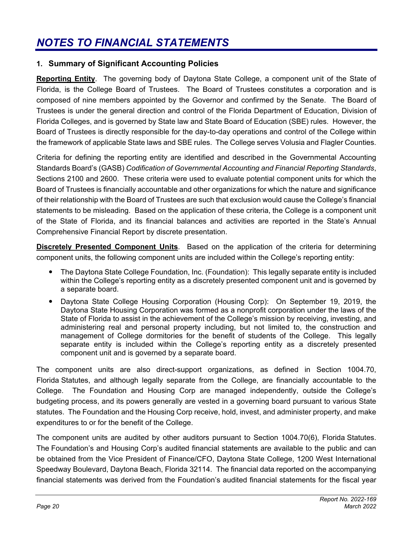## <span id="page-23-0"></span>*NOTES TO FINANCIAL STATEMENTS*

### **1. Summary of Significant Accounting Policies**

**Reporting Entity**. The governing body of Daytona State College, a component unit of the State of Florida, is the College Board of Trustees. The Board of Trustees constitutes a corporation and is composed of nine members appointed by the Governor and confirmed by the Senate. The Board of Trustees is under the general direction and control of the Florida Department of Education, Division of Florida Colleges, and is governed by State law and State Board of Education (SBE) rules. However, the Board of Trustees is directly responsible for the day-to-day operations and control of the College within the framework of applicable State laws and SBE rules. The College serves Volusia and Flagler Counties.

Criteria for defining the reporting entity are identified and described in the Governmental Accounting Standards Board's (GASB) *Codification of Governmental Accounting and Financial Reporting Standards*, Sections 2100 and 2600. These criteria were used to evaluate potential component units for which the Board of Trustees is financially accountable and other organizations for which the nature and significance of their relationship with the Board of Trustees are such that exclusion would cause the College's financial statements to be misleading. Based on the application of these criteria, the College is a component unit of the State of Florida, and its financial balances and activities are reported in the State's Annual Comprehensive Financial Report by discrete presentation.

**Discretely Presented Component Units**. Based on the application of the criteria for determining component units, the following component units are included within the College's reporting entity:

- The Daytona State College Foundation, Inc. (Foundation): This legally separate entity is included within the College's reporting entity as a discretely presented component unit and is governed by a separate board.
- Daytona State College Housing Corporation (Housing Corp): On September 19, 2019, the Daytona State Housing Corporation was formed as a nonprofit corporation under the laws of the State of Florida to assist in the achievement of the College's mission by receiving, investing, and administering real and personal property including, but not limited to, the construction and management of College dormitories for the benefit of students of the College. This legally separate entity is included within the College's reporting entity as a discretely presented component unit and is governed by a separate board.

The component units are also direct-support organizations, as defined in Section 1004.70, Florida Statutes, and although legally separate from the College, are financially accountable to the College. The Foundation and Housing Corp are managed independently, outside the College's budgeting process, and its powers generally are vested in a governing board pursuant to various State statutes. The Foundation and the Housing Corp receive, hold, invest, and administer property, and make expenditures to or for the benefit of the College.

The component units are audited by other auditors pursuant to Section 1004.70(6), Florida Statutes. The Foundation's and Housing Corp's audited financial statements are available to the public and can be obtained from the Vice President of Finance/CFO, Daytona State College, 1200 West International Speedway Boulevard, Daytona Beach, Florida 32114. The financial data reported on the accompanying financial statements was derived from the Foundation's audited financial statements for the fiscal year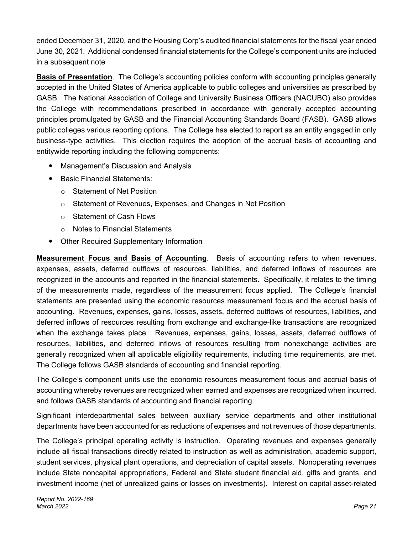ended December 31, 2020, and the Housing Corp's audited financial statements for the fiscal year ended June 30, 2021. Additional condensed financial statements for the College's component units are included in a subsequent note

**Basis of Presentation**. The College's accounting policies conform with accounting principles generally accepted in the United States of America applicable to public colleges and universities as prescribed by GASB. The National Association of College and University Business Officers (NACUBO) also provides the College with recommendations prescribed in accordance with generally accepted accounting principles promulgated by GASB and the Financial Accounting Standards Board (FASB). GASB allows public colleges various reporting options. The College has elected to report as an entity engaged in only business-type activities. This election requires the adoption of the accrual basis of accounting and entitywide reporting including the following components:

- Management's Discussion and Analysis
- Basic Financial Statements:
	- o Statement of Net Position
	- o Statement of Revenues, Expenses, and Changes in Net Position
	- o Statement of Cash Flows
	- o Notes to Financial Statements
- Other Required Supplementary Information

**Measurement Focus and Basis of Accounting**. Basis of accounting refers to when revenues, expenses, assets, deferred outflows of resources, liabilities, and deferred inflows of resources are recognized in the accounts and reported in the financial statements. Specifically, it relates to the timing of the measurements made, regardless of the measurement focus applied. The College's financial statements are presented using the economic resources measurement focus and the accrual basis of accounting. Revenues, expenses, gains, losses, assets, deferred outflows of resources, liabilities, and deferred inflows of resources resulting from exchange and exchange-like transactions are recognized when the exchange takes place. Revenues, expenses, gains, losses, assets, deferred outflows of resources, liabilities, and deferred inflows of resources resulting from nonexchange activities are generally recognized when all applicable eligibility requirements, including time requirements, are met. The College follows GASB standards of accounting and financial reporting.

The College's component units use the economic resources measurement focus and accrual basis of accounting whereby revenues are recognized when earned and expenses are recognized when incurred, and follows GASB standards of accounting and financial reporting.

Significant interdepartmental sales between auxiliary service departments and other institutional departments have been accounted for as reductions of expenses and not revenues of those departments.

The College's principal operating activity is instruction. Operating revenues and expenses generally include all fiscal transactions directly related to instruction as well as administration, academic support, student services, physical plant operations, and depreciation of capital assets. Nonoperating revenues include State noncapital appropriations, Federal and State student financial aid, gifts and grants, and investment income (net of unrealized gains or losses on investments). Interest on capital asset-related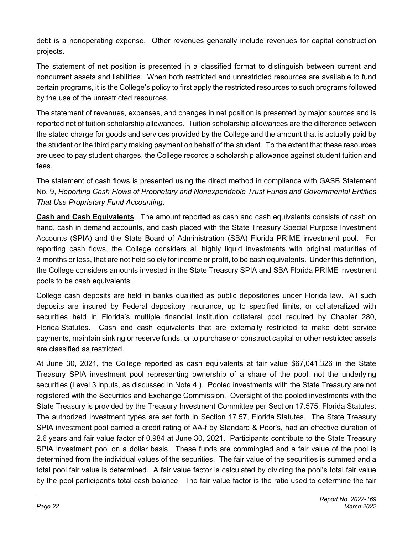debt is a nonoperating expense. Other revenues generally include revenues for capital construction projects.

The statement of net position is presented in a classified format to distinguish between current and noncurrent assets and liabilities. When both restricted and unrestricted resources are available to fund certain programs, it is the College's policy to first apply the restricted resources to such programs followed by the use of the unrestricted resources.

The statement of revenues, expenses, and changes in net position is presented by major sources and is reported net of tuition scholarship allowances. Tuition scholarship allowances are the difference between the stated charge for goods and services provided by the College and the amount that is actually paid by the student or the third party making payment on behalf of the student. To the extent that these resources are used to pay student charges, the College records a scholarship allowance against student tuition and fees.

The statement of cash flows is presented using the direct method in compliance with GASB Statement No. 9, *Reporting Cash Flows of Proprietary and Nonexpendable Trust Funds and Governmental Entities That Use Proprietary Fund Accounting*.

**Cash and Cash Equivalents**. The amount reported as cash and cash equivalents consists of cash on hand, cash in demand accounts, and cash placed with the State Treasury Special Purpose Investment Accounts (SPIA) and the State Board of Administration (SBA) Florida PRIME investment pool. For reporting cash flows, the College considers all highly liquid investments with original maturities of 3 months or less, that are not held solely for income or profit, to be cash equivalents. Under this definition, the College considers amounts invested in the State Treasury SPIA and SBA Florida PRIME investment pools to be cash equivalents.

College cash deposits are held in banks qualified as public depositories under Florida law. All such deposits are insured by Federal depository insurance, up to specified limits, or collateralized with securities held in Florida's multiple financial institution collateral pool required by Chapter 280, Florida Statutes. Cash and cash equivalents that are externally restricted to make debt service payments, maintain sinking or reserve funds, or to purchase or construct capital or other restricted assets are classified as restricted.

At June 30, 2021, the College reported as cash equivalents at fair value \$67,041,326 in the State Treasury SPIA investment pool representing ownership of a share of the pool, not the underlying securities (Level 3 inputs, as discussed in Note 4.). Pooled investments with the State Treasury are not registered with the Securities and Exchange Commission. Oversight of the pooled investments with the State Treasury is provided by the Treasury Investment Committee per Section 17.575, Florida Statutes. The authorized investment types are set forth in Section 17.57, Florida Statutes. The State Treasury SPIA investment pool carried a credit rating of AA-f by Standard & Poor's, had an effective duration of 2.6 years and fair value factor of 0.984 at June 30, 2021. Participants contribute to the State Treasury SPIA investment pool on a dollar basis. These funds are commingled and a fair value of the pool is determined from the individual values of the securities. The fair value of the securities is summed and a total pool fair value is determined. A fair value factor is calculated by dividing the pool's total fair value by the pool participant's total cash balance. The fair value factor is the ratio used to determine the fair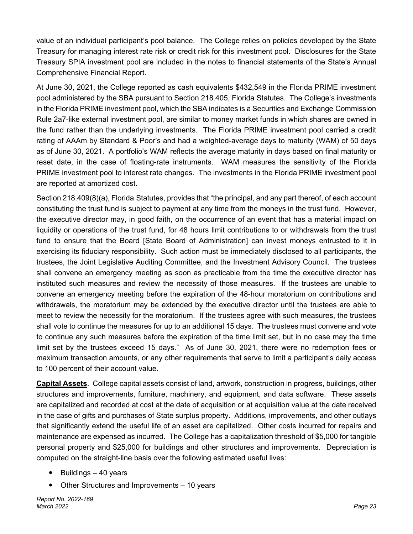value of an individual participant's pool balance. The College relies on policies developed by the State Treasury for managing interest rate risk or credit risk for this investment pool. Disclosures for the State Treasury SPIA investment pool are included in the notes to financial statements of the State's Annual Comprehensive Financial Report.

At June 30, 2021, the College reported as cash equivalents \$432,549 in the Florida PRIME investment pool administered by the SBA pursuant to Section 218.405, Florida Statutes. The College's investments in the Florida PRIME investment pool, which the SBA indicates is a Securities and Exchange Commission Rule 2a7-like external investment pool, are similar to money market funds in which shares are owned in the fund rather than the underlying investments. The Florida PRIME investment pool carried a credit rating of AAAm by Standard & Poor's and had a weighted-average days to maturity (WAM) of 50 days as of June 30, 2021. A portfolio's WAM reflects the average maturity in days based on final maturity or reset date, in the case of floating-rate instruments. WAM measures the sensitivity of the Florida PRIME investment pool to interest rate changes. The investments in the Florida PRIME investment pool are reported at amortized cost.

Section 218.409(8)(a), Florida Statutes, provides that "the principal, and any part thereof, of each account constituting the trust fund is subject to payment at any time from the moneys in the trust fund. However, the executive director may, in good faith, on the occurrence of an event that has a material impact on liquidity or operations of the trust fund, for 48 hours limit contributions to or withdrawals from the trust fund to ensure that the Board [State Board of Administration] can invest moneys entrusted to it in exercising its fiduciary responsibility. Such action must be immediately disclosed to all participants, the trustees, the Joint Legislative Auditing Committee, and the Investment Advisory Council. The trustees shall convene an emergency meeting as soon as practicable from the time the executive director has instituted such measures and review the necessity of those measures. If the trustees are unable to convene an emergency meeting before the expiration of the 48-hour moratorium on contributions and withdrawals, the moratorium may be extended by the executive director until the trustees are able to meet to review the necessity for the moratorium. If the trustees agree with such measures, the trustees shall vote to continue the measures for up to an additional 15 days. The trustees must convene and vote to continue any such measures before the expiration of the time limit set, but in no case may the time limit set by the trustees exceed 15 days." As of June 30, 2021, there were no redemption fees or maximum transaction amounts, or any other requirements that serve to limit a participant's daily access to 100 percent of their account value.

**Capital Assets**. College capital assets consist of land, artwork, construction in progress, buildings, other structures and improvements, furniture, machinery, and equipment, and data software. These assets are capitalized and recorded at cost at the date of acquisition or at acquisition value at the date received in the case of gifts and purchases of State surplus property. Additions, improvements, and other outlays that significantly extend the useful life of an asset are capitalized. Other costs incurred for repairs and maintenance are expensed as incurred. The College has a capitalization threshold of \$5,000 for tangible personal property and \$25,000 for buildings and other structures and improvements. Depreciation is computed on the straight-line basis over the following estimated useful lives:

- Buildings 40 years
- Other Structures and Improvements 10 years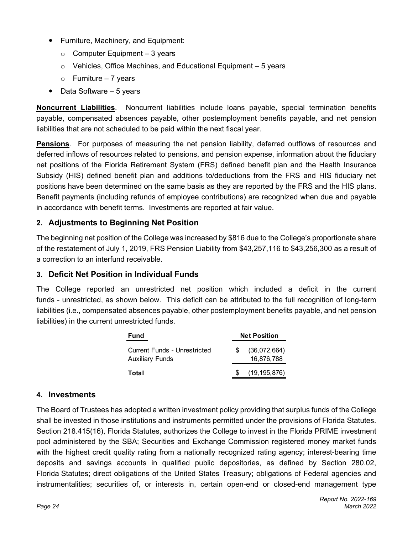- Furniture, Machinery, and Equipment:
	- $\circ$  Computer Equipment 3 years
	- $\circ$  Vehicles, Office Machines, and Educational Equipment 5 years
	- $\circ$  Furniture 7 years
- $\bullet$  Data Software 5 years

**Noncurrent Liabilities**. Noncurrent liabilities include loans payable, special termination benefits payable, compensated absences payable, other postemployment benefits payable, and net pension liabilities that are not scheduled to be paid within the next fiscal year.

**Pensions**. For purposes of measuring the net pension liability, deferred outflows of resources and deferred inflows of resources related to pensions, and pension expense, information about the fiduciary net positions of the Florida Retirement System (FRS) defined benefit plan and the Health Insurance Subsidy (HIS) defined benefit plan and additions to/deductions from the FRS and HIS fiduciary net positions have been determined on the same basis as they are reported by the FRS and the HIS plans. Benefit payments (including refunds of employee contributions) are recognized when due and payable in accordance with benefit terms. Investments are reported at fair value.

### **2. Adjustments to Beginning Net Position**

The beginning net position of the College was increased by \$816 due to the College's proportionate share of the restatement of July 1, 2019, FRS Pension Liability from \$43,257,116 to \$43,256,300 as a result of a correction to an interfund receivable.

### **3. Deficit Net Position in Individual Funds**

The College reported an unrestricted net position which included a deficit in the current funds - unrestricted, as shown below. This deficit can be attributed to the full recognition of long-term liabilities (i.e., compensated absences payable, other postemployment benefits payable, and net pension liabilities) in the current unrestricted funds.

| <b>Net Position</b><br><b>Fund</b>                            |  |                            |  |
|---------------------------------------------------------------|--|----------------------------|--|
| <b>Current Funds - Unrestricted</b><br><b>Auxiliary Funds</b> |  | (36,072,664)<br>16.876.788 |  |
| Total                                                         |  | (19, 195, 876)             |  |

### **4. Investments**

The Board of Trustees has adopted a written investment policy providing that surplus funds of the College shall be invested in those institutions and instruments permitted under the provisions of Florida Statutes. Section 218.415(16), Florida Statutes, authorizes the College to invest in the Florida PRIME investment pool administered by the SBA; Securities and Exchange Commission registered money market funds with the highest credit quality rating from a nationally recognized rating agency; interest-bearing time deposits and savings accounts in qualified public depositories, as defined by Section 280.02, Florida Statutes; direct obligations of the United States Treasury; obligations of Federal agencies and instrumentalities; securities of, or interests in, certain open-end or closed-end management type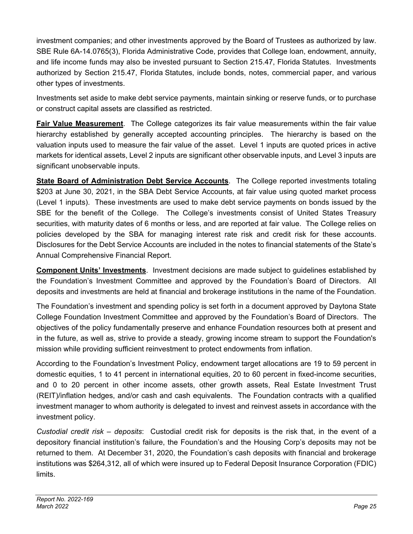investment companies; and other investments approved by the Board of Trustees as authorized by law. SBE Rule 6A-14.0765(3), Florida Administrative Code, provides that College loan, endowment, annuity, and life income funds may also be invested pursuant to Section 215.47, Florida Statutes. Investments authorized by Section 215.47, Florida Statutes, include bonds, notes, commercial paper, and various other types of investments.

Investments set aside to make debt service payments, maintain sinking or reserve funds, or to purchase or construct capital assets are classified as restricted.

**Fair Value Measurement**. The College categorizes its fair value measurements within the fair value hierarchy established by generally accepted accounting principles. The hierarchy is based on the valuation inputs used to measure the fair value of the asset. Level 1 inputs are quoted prices in active markets for identical assets, Level 2 inputs are significant other observable inputs, and Level 3 inputs are significant unobservable inputs.

**State Board of Administration Debt Service Accounts**. The College reported investments totaling \$203 at June 30, 2021, in the SBA Debt Service Accounts, at fair value using quoted market process (Level 1 inputs). These investments are used to make debt service payments on bonds issued by the SBE for the benefit of the College. The College's investments consist of United States Treasury securities, with maturity dates of 6 months or less, and are reported at fair value. The College relies on policies developed by the SBA for managing interest rate risk and credit risk for these accounts. Disclosures for the Debt Service Accounts are included in the notes to financial statements of the State's Annual Comprehensive Financial Report.

**Component Units' Investments**. Investment decisions are made subject to guidelines established by the Foundation's Investment Committee and approved by the Foundation's Board of Directors. All deposits and investments are held at financial and brokerage institutions in the name of the Foundation.

The Foundation's investment and spending policy is set forth in a document approved by Daytona State College Foundation Investment Committee and approved by the Foundation's Board of Directors. The objectives of the policy fundamentally preserve and enhance Foundation resources both at present and in the future, as well as, strive to provide a steady, growing income stream to support the Foundation's mission while providing sufficient reinvestment to protect endowments from inflation.

According to the Foundation's Investment Policy, endowment target allocations are 19 to 59 percent in domestic equities, 1 to 41 percent in international equities, 20 to 60 percent in fixed-income securities, and 0 to 20 percent in other income assets, other growth assets, Real Estate Investment Trust (REIT)/inflation hedges, and/or cash and cash equivalents. The Foundation contracts with a qualified investment manager to whom authority is delegated to invest and reinvest assets in accordance with the investment policy.

*Custodial credit risk – deposits*: Custodial credit risk for deposits is the risk that, in the event of a depository financial institution's failure, the Foundation's and the Housing Corp's deposits may not be returned to them. At December 31, 2020, the Foundation's cash deposits with financial and brokerage institutions was \$264,312, all of which were insured up to Federal Deposit Insurance Corporation (FDIC) limits.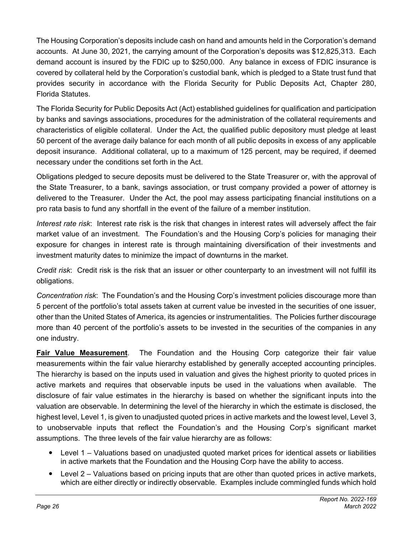The Housing Corporation's deposits include cash on hand and amounts held in the Corporation's demand accounts. At June 30, 2021, the carrying amount of the Corporation's deposits was \$12,825,313. Each demand account is insured by the FDIC up to \$250,000. Any balance in excess of FDIC insurance is covered by collateral held by the Corporation's custodial bank, which is pledged to a State trust fund that provides security in accordance with the Florida Security for Public Deposits Act, Chapter 280, Florida Statutes.

The Florida Security for Public Deposits Act (Act) established guidelines for qualification and participation by banks and savings associations, procedures for the administration of the collateral requirements and characteristics of eligible collateral. Under the Act, the qualified public depository must pledge at least 50 percent of the average daily balance for each month of all public deposits in excess of any applicable deposit insurance. Additional collateral, up to a maximum of 125 percent, may be required, if deemed necessary under the conditions set forth in the Act.

Obligations pledged to secure deposits must be delivered to the State Treasurer or, with the approval of the State Treasurer, to a bank, savings association, or trust company provided a power of attorney is delivered to the Treasurer. Under the Act, the pool may assess participating financial institutions on a pro rata basis to fund any shortfall in the event of the failure of a member institution.

*Interest rate risk*: Interest rate risk is the risk that changes in interest rates will adversely affect the fair market value of an investment. The Foundation's and the Housing Corp's policies for managing their exposure for changes in interest rate is through maintaining diversification of their investments and investment maturity dates to minimize the impact of downturns in the market.

*Credit risk*: Credit risk is the risk that an issuer or other counterparty to an investment will not fulfill its obligations.

*Concentration risk*: The Foundation's and the Housing Corp's investment policies discourage more than 5 percent of the portfolio's total assets taken at current value be invested in the securities of one issuer, other than the United States of America, its agencies or instrumentalities. The Policies further discourage more than 40 percent of the portfolio's assets to be invested in the securities of the companies in any one industry.

**Fair Value Measurement**. The Foundation and the Housing Corp categorize their fair value measurements within the fair value hierarchy established by generally accepted accounting principles. The hierarchy is based on the inputs used in valuation and gives the highest priority to quoted prices in active markets and requires that observable inputs be used in the valuations when available. The disclosure of fair value estimates in the hierarchy is based on whether the significant inputs into the valuation are observable. In determining the level of the hierarchy in which the estimate is disclosed, the highest level, Level 1, is given to unadjusted quoted prices in active markets and the lowest level, Level 3, to unobservable inputs that reflect the Foundation's and the Housing Corp's significant market assumptions. The three levels of the fair value hierarchy are as follows:

- Level 1 Valuations based on unadjusted quoted market prices for identical assets or liabilities in active markets that the Foundation and the Housing Corp have the ability to access.
- Level 2 Valuations based on pricing inputs that are other than quoted prices in active markets, which are either directly or indirectly observable. Examples include commingled funds which hold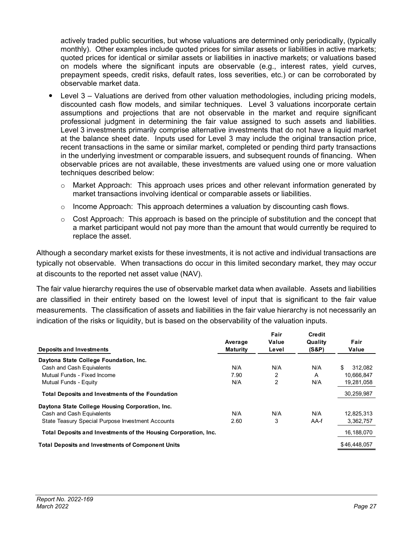actively traded public securities, but whose valuations are determined only periodically, (typically monthly). Other examples include quoted prices for similar assets or liabilities in active markets; quoted prices for identical or similar assets or liabilities in inactive markets; or valuations based on models where the significant inputs are observable (e.g., interest rates, yield curves, prepayment speeds, credit risks, default rates, loss severities, etc.) or can be corroborated by observable market data.

- Level 3 Valuations are derived from other valuation methodologies, including pricing models, discounted cash flow models, and similar techniques. Level 3 valuations incorporate certain assumptions and projections that are not observable in the market and require significant professional judgment in determining the fair value assigned to such assets and liabilities. Level 3 investments primarily comprise alternative investments that do not have a liquid market at the balance sheet date. Inputs used for Level 3 may include the original transaction price, recent transactions in the same or similar market, completed or pending third party transactions in the underlying investment or comparable issuers, and subsequent rounds of financing. When observable prices are not available, these investments are valued using one or more valuation techniques described below:
	- $\circ$  Market Approach: This approach uses prices and other relevant information generated by market transactions involving identical or comparable assets or liabilities.
	- $\circ$  Income Approach: This approach determines a valuation by discounting cash flows.
	- $\circ$  Cost Approach: This approach is based on the principle of substitution and the concept that a market participant would not pay more than the amount that would currently be required to replace the asset.

Although a secondary market exists for these investments, it is not active and individual transactions are typically not observable. When transactions do occur in this limited secondary market, they may occur at discounts to the reported net asset value (NAV).

The fair value hierarchy requires the use of observable market data when available. Assets and liabilities are classified in their entirety based on the lowest level of input that is significant to the fair value measurements. The classification of assets and liabilities in the fair value hierarchy is not necessarily an indication of the risks or liquidity, but is based on the observability of the valuation inputs.

| Deposits and Investments                                        | Average<br><b>Maturity</b> | Fair<br>Value<br>Level | Credit<br>Quality<br>(S&P) | Fair<br>Value |
|-----------------------------------------------------------------|----------------------------|------------------------|----------------------------|---------------|
| Daytona State College Foundation, Inc.                          |                            |                        |                            |               |
| Cash and Cash Equivalents                                       | N/A                        | N/A                    | N/A                        | \$<br>312.082 |
| Mutual Funds - Fixed Income                                     | 7.90                       | 2                      | A                          | 10.666.847    |
| Mutual Funds - Equity                                           | N/A                        | $\overline{2}$         | N/A                        | 19,281,058    |
| Total Deposits and Investments of the Foundation                |                            |                        |                            | 30,259,987    |
| Daytona State College Housing Corporation, Inc.                 |                            |                        |                            |               |
| Cash and Cash Equivalents                                       | N/A                        | N/A                    | N/A                        | 12.825.313    |
| State Teasury Special Purpose Investment Accounts               | 2.60                       | 3                      | AA-f                       | 3,362,757     |
| Total Deposits and Investments of the Housing Corporation, Inc. |                            |                        |                            | 16,188,070    |
| <b>Total Deposits and Investments of Component Units</b>        |                            |                        |                            | \$46,448,057  |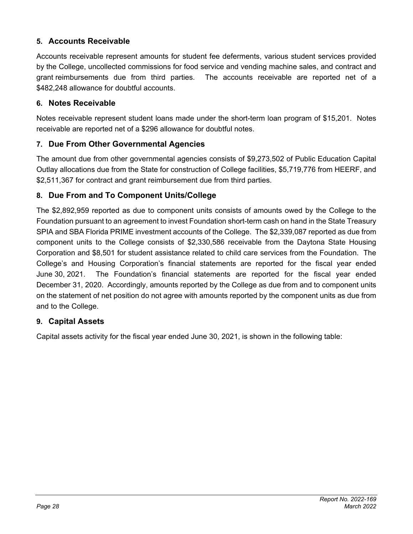### **5. Accounts Receivable**

Accounts receivable represent amounts for student fee deferments, various student services provided by the College, uncollected commissions for food service and vending machine sales, and contract and grant reimbursements due from third parties. The accounts receivable are reported net of a \$482,248 allowance for doubtful accounts.

### **6. Notes Receivable**

Notes receivable represent student loans made under the short-term loan program of \$15,201. Notes receivable are reported net of a \$296 allowance for doubtful notes.

### **7. Due From Other Governmental Agencies**

The amount due from other governmental agencies consists of \$9,273,502 of Public Education Capital Outlay allocations due from the State for construction of College facilities, \$5,719,776 from HEERF, and \$2,511,367 for contract and grant reimbursement due from third parties.

### **8. Due From and To Component Units/College**

The \$2,892,959 reported as due to component units consists of amounts owed by the College to the Foundation pursuant to an agreement to invest Foundation short-term cash on hand in the State Treasury SPIA and SBA Florida PRIME investment accounts of the College. The \$2,339,087 reported as due from component units to the College consists of \$2,330,586 receivable from the Daytona State Housing Corporation and \$8,501 for student assistance related to child care services from the Foundation. The College's and Housing Corporation's financial statements are reported for the fiscal year ended June 30, 2021. The Foundation's financial statements are reported for the fiscal year ended December 31, 2020. Accordingly, amounts reported by the College as due from and to component units on the statement of net position do not agree with amounts reported by the component units as due from and to the College.

### **9. Capital Assets**

Capital assets activity for the fiscal year ended June 30, 2021, is shown in the following table: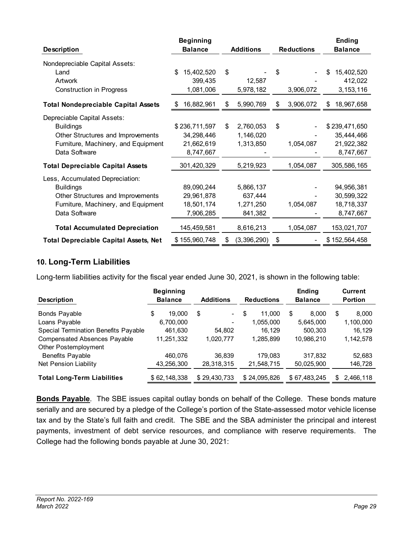|                                              | <b>Beginning</b>  |                   |                   | Ending           |
|----------------------------------------------|-------------------|-------------------|-------------------|------------------|
| <b>Description</b>                           | <b>Balance</b>    | <b>Additions</b>  | <b>Reductions</b> | <b>Balance</b>   |
| Nondepreciable Capital Assets:               |                   |                   |                   |                  |
| Land                                         | 15,402,520<br>\$. | \$                | \$                | 15,402,520       |
| Artwork                                      | 399,435           | 12,587            |                   | 412,022          |
| <b>Construction in Progress</b>              | 1,081,006         | 5,978,182         | 3,906,072         | 3, 153, 116      |
| <b>Total Nondepreciable Capital Assets</b>   | 16,882,961<br>S   | \$<br>5,990,769   | 3,906,072<br>\$   | 18,967,658<br>\$ |
| Depreciable Capital Assets:                  |                   |                   |                   |                  |
| <b>Buildings</b>                             | \$236,711,597     | \$<br>2,760,053   | \$                | \$239,471,650    |
| Other Structures and Improvements            | 34,298,446        | 1,146,020         |                   | 35,444,466       |
| Furniture, Machinery, and Equipment          | 21,662,619        | 1,313,850         | 1,054,087         | 21,922,382       |
| Data Software                                | 8,747,667         |                   |                   | 8,747,667        |
| <b>Total Depreciable Capital Assets</b>      | 301,420,329       | 5,219,923         | 1,054,087         | 305,586,165      |
| Less, Accumulated Depreciation:              |                   |                   |                   |                  |
| <b>Buildings</b>                             | 89,090,244        | 5,866,137         |                   | 94,956,381       |
| Other Structures and Improvements            | 29,961,878        | 637,444           |                   | 30,599,322       |
| Furniture, Machinery, and Equipment          | 18,501,174        | 1,271,250         | 1,054,087         | 18,718,337       |
| Data Software                                | 7,906,285         | 841,382           |                   | 8,747,667        |
| <b>Total Accumulated Depreciation</b>        | 145,459,581       | 8,616,213         | 1,054,087         | 153,021,707      |
| <b>Total Depreciable Capital Assets, Net</b> | \$155,960,748     | (3,396,290)<br>\$ | \$                | \$152,564,458    |

### **10. Long-Term Liabilities**

Long-term liabilities activity for the fiscal year ended June 30, 2021, is shown in the following table:

|                                             | <b>Beginning</b> |                                |                   |              |                | <b>Ending</b> |                | <b>Current</b> |
|---------------------------------------------|------------------|--------------------------------|-------------------|--------------|----------------|---------------|----------------|----------------|
| <b>Description</b>                          | <b>Balance</b>   | <b>Additions</b>               | <b>Reductions</b> |              | <b>Balance</b> |               | <b>Portion</b> |                |
| <b>Bonds Payable</b>                        | \$<br>19,000     | \$<br>$\overline{\phantom{a}}$ | \$                | 11.000       | \$             | 8.000         | \$             | 8,000          |
| Loans Payable                               | 6,700,000        |                                |                   | 1,055,000    |                | 5,645,000     |                | 1,100,000      |
| <b>Special Termination Benefits Payable</b> | 461,630          | 54,802                         |                   | 16.129       |                | 500,303       |                | 16,129         |
| <b>Compensated Absences Payable</b>         | 11,251,332       | 1,020,777                      |                   | 1,285,899    |                | 10,986,210    |                | 1,142,578      |
| Other Postemployment                        |                  |                                |                   |              |                |               |                |                |
| <b>Benefits Payable</b>                     | 460.076          | 36.839                         |                   | 179,083      |                | 317.832       |                | 52,683         |
| Net Pension Liability                       | 43,256,300       | 28,318,315                     |                   | 21,548,715   |                | 50,025,900    |                | 146,728        |
| <b>Total Long-Term Liabilities</b>          | \$62,148,338     | \$29,430,733                   |                   | \$24,095,826 |                | \$67,483,245  | \$.            | 2,466,118      |

**Bonds Payable**. The SBE issues capital outlay bonds on behalf of the College. These bonds mature serially and are secured by a pledge of the College's portion of the State-assessed motor vehicle license tax and by the State's full faith and credit. The SBE and the SBA administer the principal and interest payments, investment of debt service resources, and compliance with reserve requirements. The College had the following bonds payable at June 30, 2021: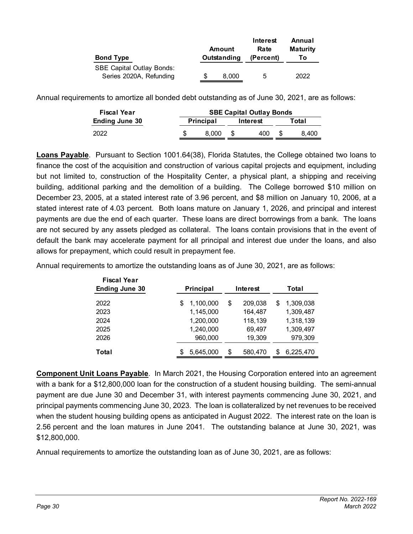| <b>Bond Type</b>                                            | <b>Amount</b><br>Outstanding |       | Interest<br>Rate<br>(Percent) | Annual<br><b>Maturity</b><br>То |
|-------------------------------------------------------------|------------------------------|-------|-------------------------------|---------------------------------|
| <b>SBE Capital Outlay Bonds:</b><br>Series 2020A, Refunding |                              | 8.000 | b                             | 2022                            |

Annual requirements to amortize all bonded debt outstanding as of June 30, 2021, are as follows:

| <b>Fiscal Year</b>    | <b>SBE Capital Outlay Bonds</b> |                  |          |     |  |       |  |
|-----------------------|---------------------------------|------------------|----------|-----|--|-------|--|
| <b>Ending June 30</b> |                                 | <b>Principal</b> | Interest |     |  | Total |  |
| 2022                  |                                 | 8.000            |          | 400 |  | 8.400 |  |

**Loans Payable**. Pursuant to Section 1001.64(38), Florida Statutes, the College obtained two loans to finance the cost of the acquisition and construction of various capital projects and equipment, including but not limited to, construction of the Hospitality Center, a physical plant, a shipping and receiving building, additional parking and the demolition of a building. The College borrowed \$10 million on December 23, 2005, at a stated interest rate of 3.96 percent, and \$8 million on January 10, 2006, at a stated interest rate of 4.03 percent. Both loans mature on January 1, 2026, and principal and interest payments are due the end of each quarter. These loans are direct borrowings from a bank. The loans are not secured by any assets pledged as collateral. The loans contain provisions that in the event of default the bank may accelerate payment for all principal and interest due under the loans, and also allows for prepayment, which could result in prepayment fee.

| FISCAI I EAI          |   |                        |    |                    |   |                        |
|-----------------------|---|------------------------|----|--------------------|---|------------------------|
| <b>Ending June 30</b> |   | Principal              |    | Interest           |   | Total                  |
| 2022                  | S | 1,100,000              | S  | 209,038            | S | 1,309,038              |
| 2023<br>2024          |   | 1,145,000<br>1,200,000 |    | 164,487<br>118,139 |   | 1,309,487<br>1,318,139 |
| 2025<br>2026          |   | 1,240,000<br>960,000   |    | 69,497<br>19,309   |   | 1,309,497<br>979,309   |
| <b>Total</b>          |   | 5,645,000              | \$ | 580,470            | S | 6,225,470              |

Annual requirements to amortize the outstanding loans as of June 30, 2021, are as follows:

**Fiscal Year**

**Component Unit Loans Payable**. In March 2021, the Housing Corporation entered into an agreement with a bank for a \$12,800,000 loan for the construction of a student housing building. The semi-annual payment are due June 30 and December 31, with interest payments commencing June 30, 2021, and principal payments commencing June 30, 2023. The loan is collateralized by net revenues to be received when the student housing building opens as anticipated in August 2022. The interest rate on the loan is 2.56 percent and the loan matures in June 2041. The outstanding balance at June 30, 2021, was \$12,800,000.

Annual requirements to amortize the outstanding loan as of June 30, 2021, are as follows: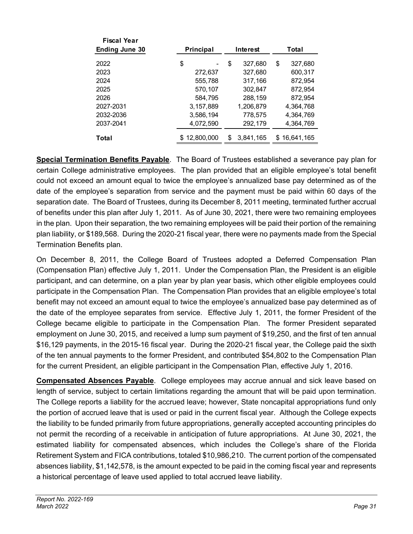| <b>Fiscal Year</b><br><b>Ending June 30</b> | Principal    | Interest       | Total         |  |  |
|---------------------------------------------|--------------|----------------|---------------|--|--|
| 2022                                        | \$           | S<br>327,680   | 327,680<br>\$ |  |  |
| 2023                                        | 272,637      | 327,680        | 600,317       |  |  |
| 2024                                        | 555,788      | 317,166        | 872.954       |  |  |
| 2025                                        | 570,107      | 302,847        | 872.954       |  |  |
| 2026                                        | 584,795      | 288,159        | 872,954       |  |  |
| 2027-2031                                   | 3, 157, 889  | 1,206,879      | 4,364,768     |  |  |
| 2032-2036                                   | 3,586,194    | 778,575        | 4,364,769     |  |  |
| 2037-2041                                   | 4,072,590    | 292,179        | 4,364,769     |  |  |
| Total                                       | \$12,800,000 | 3,841,165<br>S | \$16,641,165  |  |  |

**Special Termination Benefits Payable**. The Board of Trustees established a severance pay plan for certain College administrative employees. The plan provided that an eligible employee's total benefit could not exceed an amount equal to twice the employee's annualized base pay determined as of the date of the employee's separation from service and the payment must be paid within 60 days of the separation date. The Board of Trustees, during its December 8, 2011 meeting, terminated further accrual of benefits under this plan after July 1, 2011. As of June 30, 2021, there were two remaining employees in the plan. Upon their separation, the two remaining employees will be paid their portion of the remaining plan liability, or \$189,568. During the 2020-21 fiscal year, there were no payments made from the Special Termination Benefits plan.

On December 8, 2011, the College Board of Trustees adopted a Deferred Compensation Plan (Compensation Plan) effective July 1, 2011. Under the Compensation Plan, the President is an eligible participant, and can determine, on a plan year by plan year basis, which other eligible employees could participate in the Compensation Plan. The Compensation Plan provides that an eligible employee's total benefit may not exceed an amount equal to twice the employee's annualized base pay determined as of the date of the employee separates from service. Effective July 1, 2011, the former President of the College became eligible to participate in the Compensation Plan. The former President separated employment on June 30, 2015, and received a lump sum payment of \$19,250, and the first of ten annual \$16,129 payments, in the 2015-16 fiscal year. During the 2020-21 fiscal year, the College paid the sixth of the ten annual payments to the former President, and contributed \$54,802 to the Compensation Plan for the current President, an eligible participant in the Compensation Plan, effective July 1, 2016.

**Compensated Absences Payable**. College employees may accrue annual and sick leave based on length of service, subject to certain limitations regarding the amount that will be paid upon termination. The College reports a liability for the accrued leave; however, State noncapital appropriations fund only the portion of accrued leave that is used or paid in the current fiscal year. Although the College expects the liability to be funded primarily from future appropriations, generally accepted accounting principles do not permit the recording of a receivable in anticipation of future appropriations. At June 30, 2021, the estimated liability for compensated absences, which includes the College's share of the Florida Retirement System and FICA contributions, totaled \$10,986,210. The current portion of the compensated absences liability, \$1,142,578, is the amount expected to be paid in the coming fiscal year and represents a historical percentage of leave used applied to total accrued leave liability.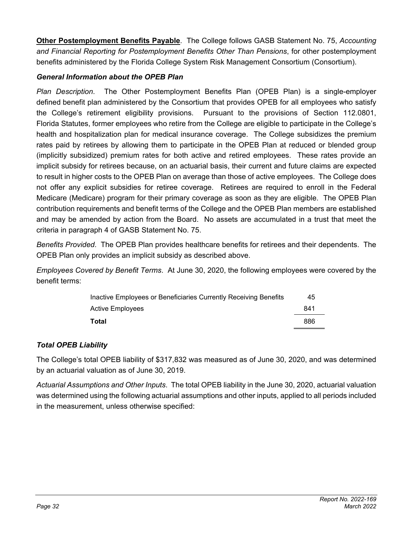**Other Postemployment Benefits Payable**. The College follows GASB Statement No. 75, *Accounting and Financial Reporting for Postemployment Benefits Other Than Pensions*, for other postemployment benefits administered by the Florida College System Risk Management Consortium (Consortium).

### *General Information about the OPEB Plan*

*Plan Description*. The Other Postemployment Benefits Plan (OPEB Plan) is a single-employer defined benefit plan administered by the Consortium that provides OPEB for all employees who satisfy the College's retirement eligibility provisions. Pursuant to the provisions of Section 112.0801, Florida Statutes, former employees who retire from the College are eligible to participate in the College's health and hospitalization plan for medical insurance coverage. The College subsidizes the premium rates paid by retirees by allowing them to participate in the OPEB Plan at reduced or blended group (implicitly subsidized) premium rates for both active and retired employees. These rates provide an implicit subsidy for retirees because, on an actuarial basis, their current and future claims are expected to result in higher costs to the OPEB Plan on average than those of active employees. The College does not offer any explicit subsidies for retiree coverage. Retirees are required to enroll in the Federal Medicare (Medicare) program for their primary coverage as soon as they are eligible. The OPEB Plan contribution requirements and benefit terms of the College and the OPEB Plan members are established and may be amended by action from the Board. No assets are accumulated in a trust that meet the criteria in paragraph 4 of GASB Statement No. 75.

*Benefits Provided*. The OPEB Plan provides healthcare benefits for retirees and their dependents. The OPEB Plan only provides an implicit subsidy as described above.

*Employees Covered by Benefit Terms*. At June 30, 2020, the following employees were covered by the benefit terms:

| Inactive Employees or Beneficiaries Currently Receiving Benefits | 45  |
|------------------------------------------------------------------|-----|
| Active Employees                                                 | 841 |
| Total                                                            | 886 |

### *Total OPEB Liability*

The College's total OPEB liability of \$317,832 was measured as of June 30, 2020, and was determined by an actuarial valuation as of June 30, 2019.

*Actuarial Assumptions and Other Inputs*. The total OPEB liability in the June 30, 2020, actuarial valuation was determined using the following actuarial assumptions and other inputs, applied to all periods included in the measurement, unless otherwise specified: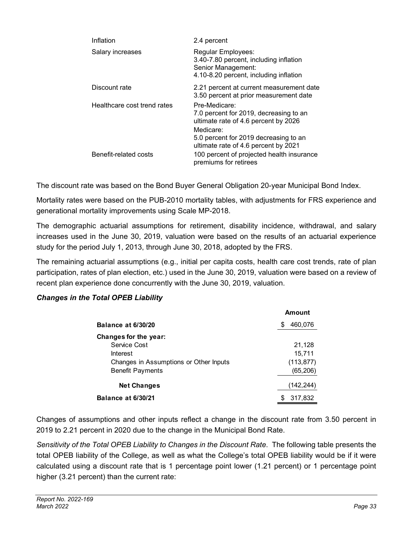| Inflation                   | 2.4 percent                                                                                                                                                                                   |
|-----------------------------|-----------------------------------------------------------------------------------------------------------------------------------------------------------------------------------------------|
| Salary increases            | Regular Employees:<br>3.40-7.80 percent, including inflation<br>Senior Management:<br>4.10-8.20 percent, including inflation                                                                  |
| Discount rate               | 2.21 percent at current measurement date<br>3.50 percent at prior measurement date                                                                                                            |
| Healthcare cost trend rates | Pre-Medicare:<br>7.0 percent for 2019, decreasing to an<br>ultimate rate of 4.6 percent by 2026<br>Medicare:<br>5.0 percent for 2019 decreasing to an<br>ultimate rate of 4.6 percent by 2021 |
| Benefit-related costs       | 100 percent of projected health insurance<br>premiums for retirees                                                                                                                            |

The discount rate was based on the Bond Buyer General Obligation 20-year Municipal Bond Index.

Mortality rates were based on the PUB-2010 mortality tables, with adjustments for FRS experience and generational mortality improvements using Scale MP-2018.

The demographic actuarial assumptions for retirement, disability incidence, withdrawal, and salary increases used in the June 30, 2019, valuation were based on the results of an actuarial experience study for the period July 1, 2013, through June 30, 2018, adopted by the FRS.

The remaining actuarial assumptions (e.g., initial per capita costs, health care cost trends, rate of plan participation, rates of plan election, etc.) used in the June 30, 2019, valuation were based on a review of recent plan experience done concurrently with the June 30, 2019, valuation.

### *Changes in the Total OPEB Liability*

|                                        | <b>Amount</b> |
|----------------------------------------|---------------|
| <b>Balance at 6/30/20</b>              | 460,076<br>S  |
| Changes for the year:                  |               |
| Service Cost                           | 21,128        |
| Interest                               | 15,711        |
| Changes in Assumptions or Other Inputs | (113, 877)    |
| <b>Benefit Payments</b>                | (65, 206)     |
| <b>Net Changes</b>                     | (142, 244)    |
| Balance at 6/30/21                     | 317,832<br>S  |

Changes of assumptions and other inputs reflect a change in the discount rate from 3.50 percent in 2019 to 2.21 percent in 2020 due to the change in the Municipal Bond Rate.

*Sensitivity of the Total OPEB Liability to Changes in the Discount Rate*. The following table presents the total OPEB liability of the College, as well as what the College's total OPEB liability would be if it were calculated using a discount rate that is 1 percentage point lower (1.21 percent) or 1 percentage point higher (3.21 percent) than the current rate: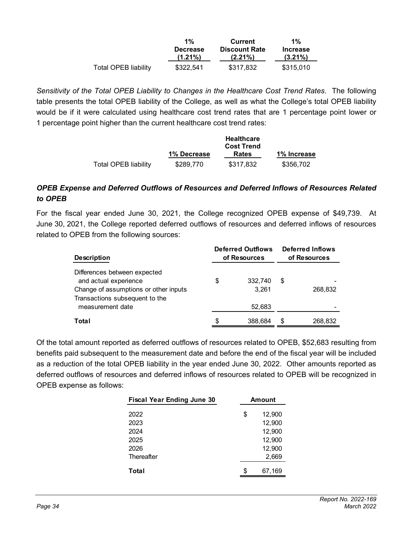|                      | 1%              | Current              | 1%              |
|----------------------|-----------------|----------------------|-----------------|
|                      | <b>Decrease</b> | <b>Discount Rate</b> | <b>Increase</b> |
|                      | $(1.21\%)$      | $(2.21\%)$           | $(3.21\%)$      |
| Total OPEB liability | \$322.541       | \$317.832            | \$315,010       |

*Sensitivity of the Total OPEB Liability to Changes in the Healthcare Cost Trend Rates*. The following table presents the total OPEB liability of the College, as well as what the College's total OPEB liability would be if it were calculated using healthcare cost trend rates that are 1 percentage point lower or 1 percentage point higher than the current healthcare cost trend rates:

|                             |             | <b>Healthcare</b><br><b>Cost Trend</b> |             |
|-----------------------------|-------------|----------------------------------------|-------------|
|                             | 1% Decrease | <b>Rates</b>                           | 1% Increase |
| <b>Total OPEB liability</b> | \$289,770   | \$317.832                              | \$356,702   |

### *OPEB Expense and Deferred Outflows of Resources and Deferred Inflows of Resources Related to OPEB*

For the fiscal year ended June 30, 2021, the College recognized OPEB expense of \$49,739. At June 30, 2021, the College reported deferred outflows of resources and deferred inflows of resources related to OPEB from the following sources:

| <b>Description</b>                                                                                                               | <b>Deferred Outflows</b><br>of Resources | Deferred Inflows<br>of Resources |
|----------------------------------------------------------------------------------------------------------------------------------|------------------------------------------|----------------------------------|
| Differences between expected<br>and actual experience<br>Change of assumptions or other inputs<br>Transactions subsequent to the | \$<br>332,740<br>3,261                   | \$<br>268,832                    |
| measurement date                                                                                                                 | 52,683                                   |                                  |
| Total                                                                                                                            | \$<br>388.684                            | \$<br>268,832                    |

Of the total amount reported as deferred outflows of resources related to OPEB, \$52,683 resulting from benefits paid subsequent to the measurement date and before the end of the fiscal year will be included as a reduction of the total OPEB liability in the year ended June 30, 2022. Other amounts reported as deferred outflows of resources and deferred inflows of resources related to OPEB will be recognized in OPEB expense as follows:

| <b>Fiscal Year Ending June 30</b> | <b>Amount</b> |        |  |
|-----------------------------------|---------------|--------|--|
| 2022                              | \$            | 12,900 |  |
| 2023                              |               | 12,900 |  |
| 2024                              |               | 12,900 |  |
| 2025                              |               | 12,900 |  |
| 2026                              |               | 12,900 |  |
| Thereafter                        |               | 2,669  |  |
| Total                             | S.            | 67,169 |  |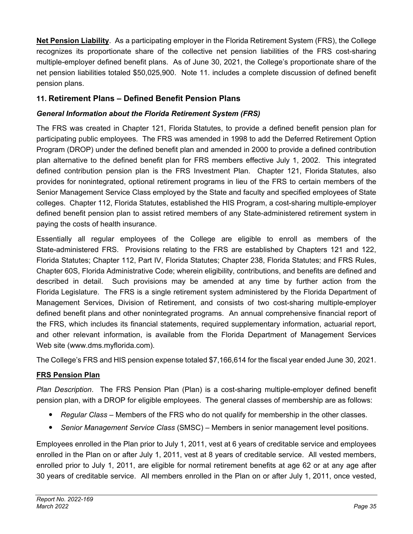**Net Pension Liability**. As a participating employer in the Florida Retirement System (FRS), the College recognizes its proportionate share of the collective net pension liabilities of the FRS cost-sharing multiple-employer defined benefit plans. As of June 30, 2021, the College's proportionate share of the net pension liabilities totaled \$50,025,900. Note 11. includes a complete discussion of defined benefit pension plans.

## **11. Retirement Plans – Defined Benefit Pension Plans**

### *General Information about the Florida Retirement System (FRS)*

The FRS was created in Chapter 121, Florida Statutes, to provide a defined benefit pension plan for participating public employees. The FRS was amended in 1998 to add the Deferred Retirement Option Program (DROP) under the defined benefit plan and amended in 2000 to provide a defined contribution plan alternative to the defined benefit plan for FRS members effective July 1, 2002. This integrated defined contribution pension plan is the FRS Investment Plan. Chapter 121, Florida Statutes, also provides for nonintegrated, optional retirement programs in lieu of the FRS to certain members of the Senior Management Service Class employed by the State and faculty and specified employees of State colleges. Chapter 112, Florida Statutes, established the HIS Program, a cost-sharing multiple-employer defined benefit pension plan to assist retired members of any State-administered retirement system in paying the costs of health insurance.

Essentially all regular employees of the College are eligible to enroll as members of the State-administered FRS. Provisions relating to the FRS are established by Chapters 121 and 122, Florida Statutes; Chapter 112, Part IV, Florida Statutes; Chapter 238, Florida Statutes; and FRS Rules, Chapter 60S, Florida Administrative Code; wherein eligibility, contributions, and benefits are defined and described in detail. Such provisions may be amended at any time by further action from the Florida Legislature. The FRS is a single retirement system administered by the Florida Department of Management Services, Division of Retirement, and consists of two cost-sharing multiple-employer defined benefit plans and other nonintegrated programs. An annual comprehensive financial report of the FRS, which includes its financial statements, required supplementary information, actuarial report, and other relevant information, is available from the Florida Department of Management Services Web site (www.dms.myflorida.com).

The College's FRS and HIS pension expense totaled \$7,166,614 for the fiscal year ended June 30, 2021.

### **FRS Pension Plan**

*Plan Description*. The FRS Pension Plan (Plan) is a cost-sharing multiple-employer defined benefit pension plan, with a DROP for eligible employees. The general classes of membership are as follows:

- *Regular Class* Members of the FRS who do not qualify for membership in the other classes.
- *Senior Management Service Class* (SMSC) Members in senior management level positions.

Employees enrolled in the Plan prior to July 1, 2011, vest at 6 years of creditable service and employees enrolled in the Plan on or after July 1, 2011, vest at 8 years of creditable service. All vested members, enrolled prior to July 1, 2011, are eligible for normal retirement benefits at age 62 or at any age after 30 years of creditable service. All members enrolled in the Plan on or after July 1, 2011, once vested,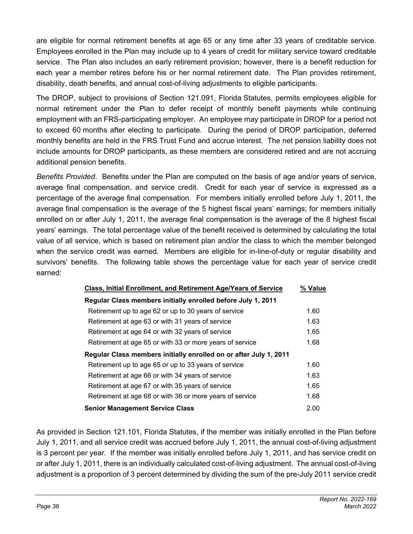are eligible for normal retirement benefits at age 65 or any time after 33 years of creditable service. Employees enrolled in the Plan may include up to 4 years of credit for military service toward creditable service. The Plan also includes an early retirement provision; however, there is a benefit reduction for each year a member retires before his or her normal retirement date. The Plan provides retirement, disability, death benefits, and annual cost-of-living adjustments to eligible participants.

The DROP, subject to provisions of Section 121.091, Florida Statutes, permits employees eligible for normal retirement under the Plan to defer receipt of monthly benefit payments while continuing employment with an FRS-participating employer. An employee may participate in DROP for a period not to exceed 60 months after electing to participate. During the period of DROP participation, deferred monthly benefits are held in the FRS Trust Fund and accrue interest. The net pension liability does not include amounts for DROP participants, as these members are considered retired and are not accruing additional pension benefits.

*Benefits Provided*. Benefits under the Plan are computed on the basis of age and/or years of service, average final compensation, and service credit. Credit for each year of service is expressed as a percentage of the average final compensation. For members initially enrolled before July 1, 2011, the average final compensation is the average of the 5 highest fiscal years' earnings; for members initially enrolled on or after July 1, 2011, the average final compensation is the average of the 8 highest fiscal years' earnings. The total percentage value of the benefit received is determined by calculating the total value of all service, which is based on retirement plan and/or the class to which the member belonged when the service credit was earned. Members are eligible for in-line-of-duty or regular disability and survivors' benefits. The following table shows the percentage value for each year of service credit earned:

| <b>Class, Initial Enrollment, and Retirement Age/Years of Service</b> | % Value |
|-----------------------------------------------------------------------|---------|
| Regular Class members initially enrolled before July 1, 2011          |         |
| Retirement up to age 62 or up to 30 years of service                  | 1.60    |
| Retirement at age 63 or with 31 years of service                      | 1.63    |
| Retirement at age 64 or with 32 years of service                      | 1.65    |
| Retirement at age 65 or with 33 or more years of service              | 1.68    |
| Regular Class members initially enrolled on or after July 1, 2011     |         |
| Retirement up to age 65 or up to 33 years of service                  | 1.60    |
| Retirement at age 66 or with 34 years of service                      | 1.63    |
| Retirement at age 67 or with 35 years of service                      | 1.65    |
| Retirement at age 68 or with 36 or more years of service              | 1.68    |
| <b>Senior Management Service Class</b>                                | 2.00    |

As provided in Section 121.101, Florida Statutes, if the member was initially enrolled in the Plan before July 1, 2011, and all service credit was accrued before July 1, 2011, the annual cost-of-living adjustment is 3 percent per year. If the member was initially enrolled before July 1, 2011, and has service credit on or after July 1, 2011, there is an individually calculated cost-of-living adjustment. The annual cost-of-living adjustment is a proportion of 3 percent determined by dividing the sum of the pre-July 2011 service credit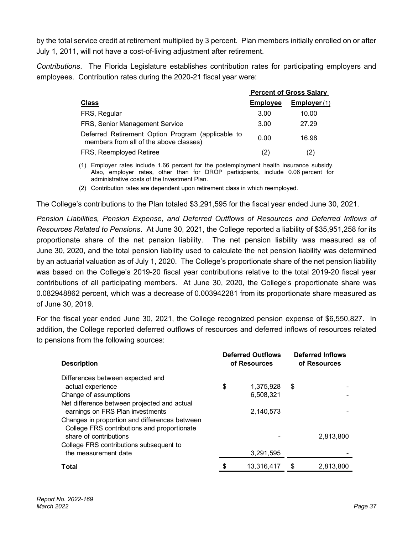by the total service credit at retirement multiplied by 3 percent. Plan members initially enrolled on or after July 1, 2011, will not have a cost-of-living adjustment after retirement.

*Contributions*. The Florida Legislature establishes contribution rates for participating employers and employees. Contribution rates during the 2020-21 fiscal year were:

|                                                                                             | <b>Percent of Gross Salary</b> |                |
|---------------------------------------------------------------------------------------------|--------------------------------|----------------|
| <b>Class</b>                                                                                | <b>Employee</b>                | Employer $(1)$ |
| FRS, Regular                                                                                | 3.00                           | 10.00          |
| FRS, Senior Management Service                                                              | 3.00                           | 27.29          |
| Deferred Retirement Option Program (applicable to<br>members from all of the above classes) | 0.00                           | 16.98          |
| FRS, Reemployed Retiree                                                                     |                                |                |

(1) Employer rates include 1.66 percent for the postemployment health insurance subsidy. Also, employer rates, other than for DROP participants, include 0.06 percent for administrative costs of the Investment Plan.

(2) Contribution rates are dependent upon retirement class in which reemployed.

The College's contributions to the Plan totaled \$3,291,595 for the fiscal year ended June 30, 2021.

*Pension Liabilities, Pension Expense, and Deferred Outflows of Resources and Deferred Inflows of Resources Related to Pensions*. At June 30, 2021, the College reported a liability of \$35,951,258 for its proportionate share of the net pension liability. The net pension liability was measured as of June 30, 2020, and the total pension liability used to calculate the net pension liability was determined by an actuarial valuation as of July 1, 2020. The College's proportionate share of the net pension liability was based on the College's 2019-20 fiscal year contributions relative to the total 2019-20 fiscal year contributions of all participating members. At June 30, 2020, the College's proportionate share was 0.082948862 percent, which was a decrease of 0.003942281 from its proportionate share measured as of June 30, 2019.

For the fiscal year ended June 30, 2021, the College recognized pension expense of \$6,550,827. In addition, the College reported deferred outflows of resources and deferred inflows of resources related to pensions from the following sources:

| <b>Description</b>                            | <b>Deferred Outflows</b><br>of Resources | <b>Deferred Inflows</b><br>of Resources |
|-----------------------------------------------|------------------------------------------|-----------------------------------------|
| Differences between expected and              |                                          |                                         |
| actual experience                             | \$<br>1,375,928                          | \$                                      |
| Change of assumptions                         | 6,508,321                                |                                         |
| Net difference between projected and actual   |                                          |                                         |
| earnings on FRS Plan investments              | 2,140,573                                |                                         |
| Changes in proportion and differences between |                                          |                                         |
| College FRS contributions and proportionate   |                                          |                                         |
| share of contributions                        |                                          | 2,813,800                               |
| College FRS contributions subsequent to       |                                          |                                         |
| the measurement date                          | 3,291,595                                |                                         |
| Total                                         | 13,316,417                               | 2,813,800                               |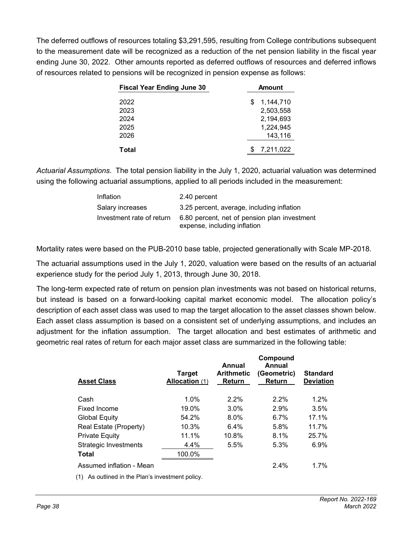The deferred outflows of resources totaling \$3,291,595, resulting from College contributions subsequent to the measurement date will be recognized as a reduction of the net pension liability in the fiscal year ending June 30, 2022. Other amounts reported as deferred outflows of resources and deferred inflows of resources related to pensions will be recognized in pension expense as follows:

| <b>Fiscal Year Ending June 30</b> | Amount          |  |
|-----------------------------------|-----------------|--|
| 2022                              | 1,144,710<br>\$ |  |
| 2023                              | 2,503,558       |  |
| 2024                              | 2,194,693       |  |
| 2025                              | 1,224,945       |  |
| 2026                              | 143,116         |  |
| Total                             | 7,211,022       |  |

*Actuarial Assumptions*. The total pension liability in the July 1, 2020, actuarial valuation was determined using the following actuarial assumptions, applied to all periods included in the measurement:

| Inflation                 | 2.40 percent                                                                 |
|---------------------------|------------------------------------------------------------------------------|
| Salary increases          | 3.25 percent, average, including inflation                                   |
| Investment rate of return | 6.80 percent, net of pension plan investment<br>expense, including inflation |

Mortality rates were based on the PUB-2010 base table, projected generationally with Scale MP-2018.

The actuarial assumptions used in the July 1, 2020, valuation were based on the results of an actuarial experience study for the period July 1, 2013, through June 30, 2018.

The long-term expected rate of return on pension plan investments was not based on historical returns, but instead is based on a forward-looking capital market economic model. The allocation policy's description of each asset class was used to map the target allocation to the asset classes shown below. Each asset class assumption is based on a consistent set of underlying assumptions, and includes an adjustment for the inflation assumption. The target allocation and best estimates of arithmetic and geometric real rates of return for each major asset class are summarized in the following table:

| <b>Asset Class</b>           | <b>Target</b><br><b>Allocation</b> (1) | Annual<br><b>Arithmetic</b><br><b>Return</b> | Compound<br>Annual<br>(Geometric)<br>Return | <b>Standard</b><br><b>Deviation</b> |
|------------------------------|----------------------------------------|----------------------------------------------|---------------------------------------------|-------------------------------------|
| Cash                         | 1.0%                                   | $2.2\%$                                      | $2.2\%$                                     | $1.2\%$                             |
| Fixed Income                 | 19.0%                                  | $3.0\%$                                      | 2.9%                                        | 3.5%                                |
| Global Equity                | 54.2%                                  | $8.0\%$                                      | 6.7%                                        | 17.1%                               |
| Real Estate (Property)       | 10.3%                                  | 6.4%                                         | 5.8%                                        | 11.7%                               |
| <b>Private Equity</b>        | 11.1%                                  | 10.8%                                        | 8.1%                                        | 25.7%                               |
| <b>Strategic Investments</b> | 4.4%                                   | 5.5%                                         | 5.3%                                        | 6.9%                                |
| Total                        | 100.0%                                 |                                              |                                             |                                     |
| Assumed inflation - Mean     |                                        |                                              | $2.4\%$                                     | 1.7%                                |

(1) As outlined in the Plan's investment policy.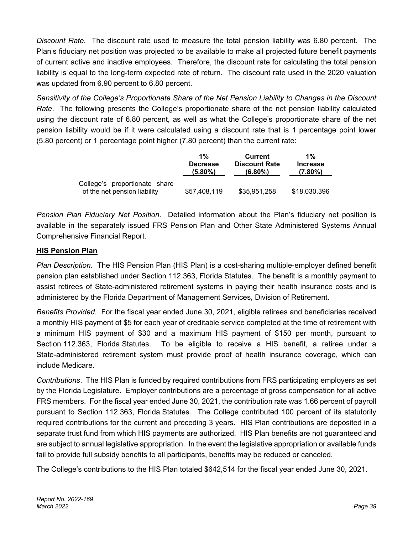*Discount Rate*. The discount rate used to measure the total pension liability was 6.80 percent. The Plan's fiduciary net position was projected to be available to make all projected future benefit payments of current active and inactive employees. Therefore, the discount rate for calculating the total pension liability is equal to the long-term expected rate of return. The discount rate used in the 2020 valuation was updated from 6.90 percent to 6.80 percent.

*Sensitivity of the College's Proportionate Share of the Net Pension Liability to Changes in the Discount Rate*. The following presents the College's proportionate share of the net pension liability calculated using the discount rate of 6.80 percent, as well as what the College's proportionate share of the net pension liability would be if it were calculated using a discount rate that is 1 percentage point lower (5.80 percent) or 1 percentage point higher (7.80 percent) than the current rate:

|                                                               | 1%              | Current              | $1\%$           |
|---------------------------------------------------------------|-----------------|----------------------|-----------------|
|                                                               | <b>Decrease</b> | <b>Discount Rate</b> | <b>Increase</b> |
|                                                               | $(5.80\%)$      | $(6.80\%)$           | $(7.80\%)$      |
| College's proportionate share<br>of the net pension liability | \$57,408,119    | \$35,951,258         | \$18,030,396    |

*Pension Plan Fiduciary Net Position*. Detailed information about the Plan's fiduciary net position is available in the separately issued FRS Pension Plan and Other State Administered Systems Annual Comprehensive Financial Report.

### **HIS Pension Plan**

*Plan Description*. The HIS Pension Plan (HIS Plan) is a cost-sharing multiple-employer defined benefit pension plan established under Section 112.363, Florida Statutes. The benefit is a monthly payment to assist retirees of State-administered retirement systems in paying their health insurance costs and is administered by the Florida Department of Management Services, Division of Retirement.

*Benefits Provided*. For the fiscal year ended June 30, 2021, eligible retirees and beneficiaries received a monthly HIS payment of \$5 for each year of creditable service completed at the time of retirement with a minimum HIS payment of \$30 and a maximum HIS payment of \$150 per month, pursuant to Section 112.363, Florida Statutes. To be eligible to receive a HIS benefit, a retiree under a State-administered retirement system must provide proof of health insurance coverage, which can include Medicare.

*Contributions*. The HIS Plan is funded by required contributions from FRS participating employers as set by the Florida Legislature. Employer contributions are a percentage of gross compensation for all active FRS members. For the fiscal year ended June 30, 2021, the contribution rate was 1.66 percent of payroll pursuant to Section 112.363, Florida Statutes. The College contributed 100 percent of its statutorily required contributions for the current and preceding 3 years. HIS Plan contributions are deposited in a separate trust fund from which HIS payments are authorized. HIS Plan benefits are not guaranteed and are subject to annual legislative appropriation. In the event the legislative appropriation or available funds fail to provide full subsidy benefits to all participants, benefits may be reduced or canceled.

The College's contributions to the HIS Plan totaled \$642,514 for the fiscal year ended June 30, 2021.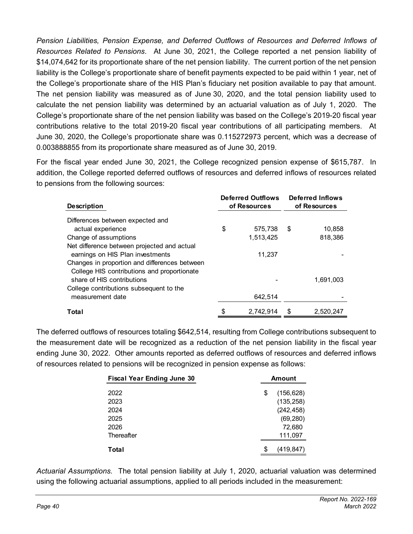*Pension Liabilities, Pension Expense, and Deferred Outflows of Resources and Deferred Inflows of Resources Related to Pensions*. At June 30, 2021, the College reported a net pension liability of \$14,074,642 for its proportionate share of the net pension liability. The current portion of the net pension liability is the College's proportionate share of benefit payments expected to be paid within 1 year, net of the College's proportionate share of the HIS Plan's fiduciary net position available to pay that amount. The net pension liability was measured as of June 30, 2020, and the total pension liability used to calculate the net pension liability was determined by an actuarial valuation as of July 1, 2020. The College's proportionate share of the net pension liability was based on the College's 2019-20 fiscal year contributions relative to the total 2019-20 fiscal year contributions of all participating members. At June 30, 2020, the College's proportionate share was 0.115272973 percent, which was a decrease of 0.003888855 from its proportionate share measured as of June 30, 2019.

For the fiscal year ended June 30, 2021, the College recognized pension expense of \$615,787. In addition, the College reported deferred outflows of resources and deferred inflows of resources related to pensions from the following sources:

| <b>Description</b>                                                                                                               | <b>Deferred Outflows</b><br>of Resources | <b>Deferred Inflows</b><br>of Resources |           |  |  |
|----------------------------------------------------------------------------------------------------------------------------------|------------------------------------------|-----------------------------------------|-----------|--|--|
| Differences between expected and                                                                                                 |                                          |                                         |           |  |  |
| actual experience                                                                                                                | \$<br>575.738                            | \$                                      | 10,858    |  |  |
| Change of assumptions                                                                                                            | 1,513,425                                |                                         | 818,386   |  |  |
| Net difference between projected and actual<br>earnings on HIS Plan investments<br>Changes in proportion and differences between | 11.237                                   |                                         |           |  |  |
| College HIS contributions and proportionate<br>share of HIS contributions<br>College contributions subsequent to the             |                                          |                                         | 1,691,003 |  |  |
| measurement date                                                                                                                 | 642,514                                  |                                         |           |  |  |
| Total                                                                                                                            | \$<br>2,742,914                          | \$                                      | 2,520,247 |  |  |

The deferred outflows of resources totaling \$642,514, resulting from College contributions subsequent to the measurement date will be recognized as a reduction of the net pension liability in the fiscal year ending June 30, 2022. Other amounts reported as deferred outflows of resources and deferred inflows of resources related to pensions will be recognized in pension expense as follows:

| <b>Fiscal Year Ending June 30</b> |    | <b>Amount</b> |  |  |  |  |
|-----------------------------------|----|---------------|--|--|--|--|
| 2022                              | \$ | (156, 628)    |  |  |  |  |
| 2023                              |    | (135, 258)    |  |  |  |  |
| 2024                              |    | (242, 458)    |  |  |  |  |
| 2025                              |    | (69, 280)     |  |  |  |  |
| 2026                              |    | 72,680        |  |  |  |  |
| Thereafter                        |    | 111,097       |  |  |  |  |
| Total                             | S  | (419, 847)    |  |  |  |  |

*Actuarial Assumptions.* The total pension liability at July 1, 2020, actuarial valuation was determined using the following actuarial assumptions, applied to all periods included in the measurement: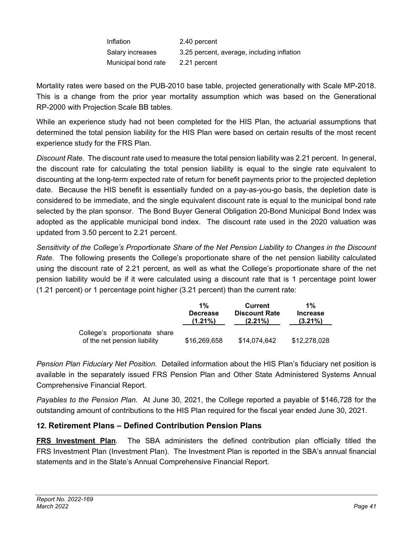| Inflation           | 2.40 percent                               |
|---------------------|--------------------------------------------|
| Salary increases    | 3.25 percent, average, including inflation |
| Municipal bond rate | 2.21 percent                               |

Mortality rates were based on the PUB-2010 base table, projected generationally with Scale MP-2018. This is a change from the prior year mortality assumption which was based on the Generational RP-2000 with Projection Scale BB tables.

While an experience study had not been completed for the HIS Plan, the actuarial assumptions that determined the total pension liability for the HIS Plan were based on certain results of the most recent experience study for the FRS Plan.

*Discount Rate*. The discount rate used to measure the total pension liability was 2.21 percent. In general, the discount rate for calculating the total pension liability is equal to the single rate equivalent to discounting at the long-term expected rate of return for benefit payments prior to the projected depletion date. Because the HIS benefit is essentially funded on a pay-as-you-go basis, the depletion date is considered to be immediate, and the single equivalent discount rate is equal to the municipal bond rate selected by the plan sponsor. The Bond Buyer General Obligation 20-Bond Municipal Bond Index was adopted as the applicable municipal bond index. The discount rate used in the 2020 valuation was updated from 3.50 percent to 2.21 percent.

*Sensitivity of the College's Proportionate Share of the Net Pension Liability to Changes in the Discount Rate*. The following presents the College's proportionate share of the net pension liability calculated using the discount rate of 2.21 percent, as well as what the College's proportionate share of the net pension liability would be if it were calculated using a discount rate that is 1 percentage point lower (1.21 percent) or 1 percentage point higher (3.21 percent) than the current rate:

|                                                               | 1%                            | Current                            | $1\%$                         |
|---------------------------------------------------------------|-------------------------------|------------------------------------|-------------------------------|
|                                                               | <b>Decrease</b><br>$(1.21\%)$ | <b>Discount Rate</b><br>$(2.21\%)$ | <b>Increase</b><br>$(3.21\%)$ |
| College's proportionate share<br>of the net pension liability | \$16,269,658                  | \$14,074,642                       | \$12,278,028                  |

*Pension Plan Fiduciary Net Position*. Detailed information about the HIS Plan's fiduciary net position is available in the separately issued FRS Pension Plan and Other State Administered Systems Annual Comprehensive Financial Report.

*Payables to the Pension Plan*. At June 30, 2021, the College reported a payable of \$146,728 for the outstanding amount of contributions to the HIS Plan required for the fiscal year ended June 30, 2021.

## **12. Retirement Plans – Defined Contribution Pension Plans**

**FRS Investment Plan**. The SBA administers the defined contribution plan officially titled the FRS Investment Plan (Investment Plan). The Investment Plan is reported in the SBA's annual financial statements and in the State's Annual Comprehensive Financial Report.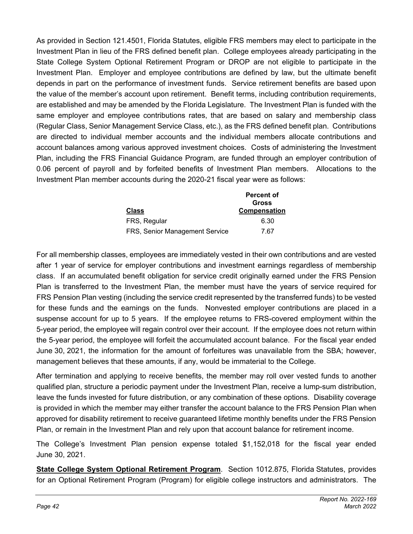As provided in Section 121.4501, Florida Statutes, eligible FRS members may elect to participate in the Investment Plan in lieu of the FRS defined benefit plan. College employees already participating in the State College System Optional Retirement Program or DROP are not eligible to participate in the Investment Plan. Employer and employee contributions are defined by law, but the ultimate benefit depends in part on the performance of investment funds. Service retirement benefits are based upon the value of the member's account upon retirement. Benefit terms, including contribution requirements, are established and may be amended by the Florida Legislature. The Investment Plan is funded with the same employer and employee contributions rates, that are based on salary and membership class (Regular Class, Senior Management Service Class, etc.), as the FRS defined benefit plan. Contributions are directed to individual member accounts and the individual members allocate contributions and account balances among various approved investment choices. Costs of administering the Investment Plan, including the FRS Financial Guidance Program, are funded through an employer contribution of 0.06 percent of payroll and by forfeited benefits of Investment Plan members. Allocations to the Investment Plan member accounts during the 2020-21 fiscal year were as follows:

|                                | <b>Percent of</b> |
|--------------------------------|-------------------|
|                                | Gross             |
| <b>Class</b>                   | Compensation      |
| FRS, Regular                   | 6.30              |
| FRS, Senior Management Service | 7.67              |

For all membership classes, employees are immediately vested in their own contributions and are vested after 1 year of service for employer contributions and investment earnings regardless of membership class. If an accumulated benefit obligation for service credit originally earned under the FRS Pension Plan is transferred to the Investment Plan, the member must have the years of service required for FRS Pension Plan vesting (including the service credit represented by the transferred funds) to be vested for these funds and the earnings on the funds. Nonvested employer contributions are placed in a suspense account for up to 5 years. If the employee returns to FRS-covered employment within the 5-year period, the employee will regain control over their account. If the employee does not return within the 5-year period, the employee will forfeit the accumulated account balance. For the fiscal year ended June 30, 2021, the information for the amount of forfeitures was unavailable from the SBA; however, management believes that these amounts, if any, would be immaterial to the College.

After termination and applying to receive benefits, the member may roll over vested funds to another qualified plan, structure a periodic payment under the Investment Plan, receive a lump-sum distribution, leave the funds invested for future distribution, or any combination of these options. Disability coverage is provided in which the member may either transfer the account balance to the FRS Pension Plan when approved for disability retirement to receive guaranteed lifetime monthly benefits under the FRS Pension Plan, or remain in the Investment Plan and rely upon that account balance for retirement income.

The College's Investment Plan pension expense totaled \$1,152,018 for the fiscal year ended June 30, 2021.

**State College System Optional Retirement Program**. Section 1012.875, Florida Statutes, provides for an Optional Retirement Program (Program) for eligible college instructors and administrators. The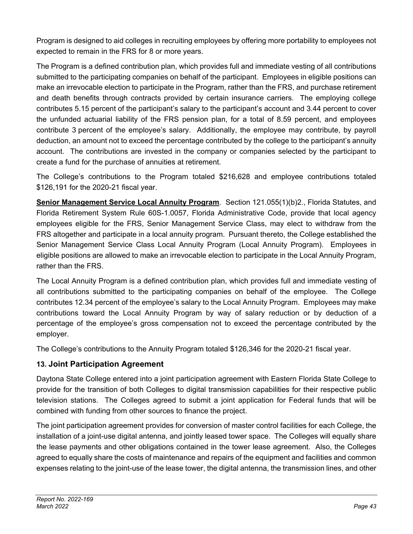Program is designed to aid colleges in recruiting employees by offering more portability to employees not expected to remain in the FRS for 8 or more years.

The Program is a defined contribution plan, which provides full and immediate vesting of all contributions submitted to the participating companies on behalf of the participant. Employees in eligible positions can make an irrevocable election to participate in the Program, rather than the FRS, and purchase retirement and death benefits through contracts provided by certain insurance carriers. The employing college contributes 5.15 percent of the participant's salary to the participant's account and 3.44 percent to cover the unfunded actuarial liability of the FRS pension plan, for a total of 8.59 percent, and employees contribute 3 percent of the employee's salary. Additionally, the employee may contribute, by payroll deduction, an amount not to exceed the percentage contributed by the college to the participant's annuity account. The contributions are invested in the company or companies selected by the participant to create a fund for the purchase of annuities at retirement.

The College's contributions to the Program totaled \$216,628 and employee contributions totaled \$126,191 for the 2020-21 fiscal year.

**Senior Management Service Local Annuity Program**. Section 121.055(1)(b)2., Florida Statutes, and Florida Retirement System Rule 60S-1.0057, Florida Administrative Code, provide that local agency employees eligible for the FRS, Senior Management Service Class, may elect to withdraw from the FRS altogether and participate in a local annuity program. Pursuant thereto, the College established the Senior Management Service Class Local Annuity Program (Local Annuity Program). Employees in eligible positions are allowed to make an irrevocable election to participate in the Local Annuity Program, rather than the FRS.

The Local Annuity Program is a defined contribution plan, which provides full and immediate vesting of all contributions submitted to the participating companies on behalf of the employee. The College contributes 12.34 percent of the employee's salary to the Local Annuity Program. Employees may make contributions toward the Local Annuity Program by way of salary reduction or by deduction of a percentage of the employee's gross compensation not to exceed the percentage contributed by the employer.

The College's contributions to the Annuity Program totaled \$126,346 for the 2020-21 fiscal year.

## **13. Joint Participation Agreement**

Daytona State College entered into a joint participation agreement with Eastern Florida State College to provide for the transition of both Colleges to digital transmission capabilities for their respective public television stations. The Colleges agreed to submit a joint application for Federal funds that will be combined with funding from other sources to finance the project.

The joint participation agreement provides for conversion of master control facilities for each College, the installation of a joint-use digital antenna, and jointly leased tower space. The Colleges will equally share the lease payments and other obligations contained in the tower lease agreement. Also, the Colleges agreed to equally share the costs of maintenance and repairs of the equipment and facilities and common expenses relating to the joint-use of the lease tower, the digital antenna, the transmission lines, and other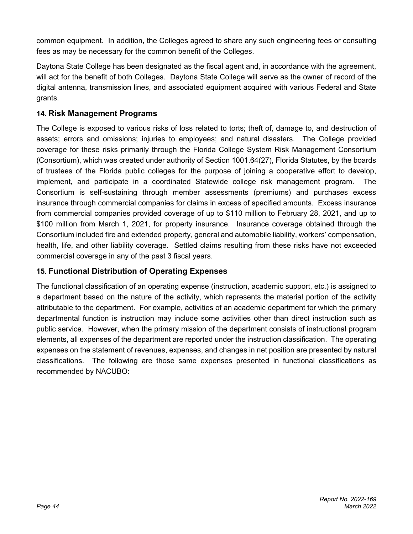common equipment. In addition, the Colleges agreed to share any such engineering fees or consulting fees as may be necessary for the common benefit of the Colleges.

Daytona State College has been designated as the fiscal agent and, in accordance with the agreement, will act for the benefit of both Colleges. Daytona State College will serve as the owner of record of the digital antenna, transmission lines, and associated equipment acquired with various Federal and State grants.

### **14. Risk Management Programs**

The College is exposed to various risks of loss related to torts; theft of, damage to, and destruction of assets; errors and omissions; injuries to employees; and natural disasters. The College provided coverage for these risks primarily through the Florida College System Risk Management Consortium (Consortium), which was created under authority of Section 1001.64(27), Florida Statutes, by the boards of trustees of the Florida public colleges for the purpose of joining a cooperative effort to develop, implement, and participate in a coordinated Statewide college risk management program. The Consortium is self-sustaining through member assessments (premiums) and purchases excess insurance through commercial companies for claims in excess of specified amounts. Excess insurance from commercial companies provided coverage of up to \$110 million to February 28, 2021, and up to \$100 million from March 1, 2021, for property insurance. Insurance coverage obtained through the Consortium included fire and extended property, general and automobile liability, workers' compensation, health, life, and other liability coverage. Settled claims resulting from these risks have not exceeded commercial coverage in any of the past 3 fiscal years.

### **15. Functional Distribution of Operating Expenses**

The functional classification of an operating expense (instruction, academic support, etc.) is assigned to a department based on the nature of the activity, which represents the material portion of the activity attributable to the department. For example, activities of an academic department for which the primary departmental function is instruction may include some activities other than direct instruction such as public service. However, when the primary mission of the department consists of instructional program elements, all expenses of the department are reported under the instruction classification. The operating expenses on the statement of revenues, expenses, and changes in net position are presented by natural classifications. The following are those same expenses presented in functional classifications as recommended by NACUBO: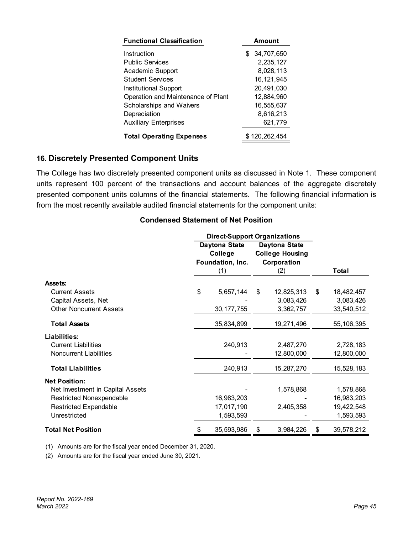| <b>Functional Classification</b>                 | Amount |                            |  |  |
|--------------------------------------------------|--------|----------------------------|--|--|
| Instruction                                      |        | \$ 34,707,650              |  |  |
| <b>Public Services</b><br>Academic Support       |        | 2,235,127<br>8,028,113     |  |  |
| <b>Student Services</b><br>Institutional Support |        | 16, 121, 945<br>20,491,030 |  |  |
| Operation and Maintenance of Plant               |        | 12,884,960                 |  |  |
| Scholarships and Waivers<br>Depreciation         |        | 16,555,637<br>8,616,213    |  |  |
| <b>Auxiliary Enterprises</b>                     |        | 621,779                    |  |  |
| <b>Total Operating Expenses</b>                  |        | \$120.262.454              |  |  |

### **16. Discretely Presented Component Units**

The College has two discretely presented component units as discussed in Note 1. These component units represent 100 percent of the transactions and account balances of the aggregate discretely presented component units columns of the financial statements. The following financial information is from the most recently available audited financial statements for the component units:

### **Condensed Statement of Net Position**

|                                  | <b>Direct-Support Organizations</b> |               |               |                        |    |              |
|----------------------------------|-------------------------------------|---------------|---------------|------------------------|----|--------------|
|                                  |                                     | Daytona State | Daytona State |                        |    |              |
|                                  | College                             |               |               | <b>College Housing</b> |    |              |
|                                  | Foundation, Inc.                    |               |               | Corporation            |    |              |
|                                  | (1)                                 |               |               | (2)                    |    | Total        |
| Assets:                          |                                     |               |               |                        |    |              |
| <b>Current Assets</b>            | \$                                  | 5,657,144     | \$            | 12,825,313             | \$ | 18,482,457   |
| Capital Assets, Net              |                                     |               |               | 3,083,426              |    | 3,083,426    |
| <b>Other Noncurrent Assets</b>   |                                     | 30, 177, 755  |               | 3,362,757              |    | 33,540,512   |
| <b>Total Assets</b>              |                                     | 35,834,899    |               | 19,271,496             |    | 55, 106, 395 |
| Liabilities:                     |                                     |               |               |                        |    |              |
| <b>Current Liabilities</b>       |                                     | 240,913       |               | 2,487,270              |    | 2,728,183    |
| <b>Noncurrent Liabilities</b>    |                                     |               |               | 12,800,000             |    | 12,800,000   |
| <b>Total Liabilities</b>         |                                     | 240,913       |               | 15,287,270             |    | 15,528,183   |
| <b>Net Position:</b>             |                                     |               |               |                        |    |              |
| Net Investment in Capital Assets |                                     |               |               | 1,578,868              |    | 1,578,868    |
| <b>Restricted Nonexpendable</b>  |                                     | 16,983,203    |               |                        |    | 16,983,203   |
| <b>Restricted Expendable</b>     |                                     | 17,017,190    |               | 2,405,358              |    | 19,422,548   |
| Unrestricted                     |                                     | 1,593,593     |               |                        |    | 1,593,593    |
| <b>Total Net Position</b>        | \$                                  | 35,593,986    | \$            | 3,984,226              | \$ | 39,578,212   |

(1) Amounts are for the fiscal year ended December 31, 2020.

(2) Amounts are for the fiscal year ended June 30, 2021.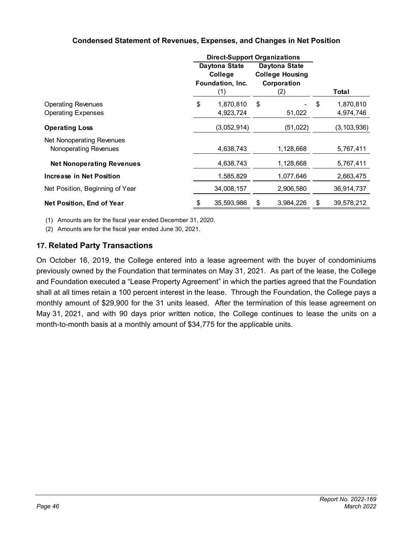### **Condensed Statement of Revenues, Expenses, and Changes in Net Position**

|                                                    | <b>Direct-Support Organizations</b>                 |                                                               |           |    |               |
|----------------------------------------------------|-----------------------------------------------------|---------------------------------------------------------------|-----------|----|---------------|
|                                                    | Daytona State<br>College<br>Foundation, Inc.<br>(1) | Daytona State<br><b>College Housing</b><br>Corporation<br>(2) |           |    | Total         |
| <b>Operating Revenues</b>                          | \$<br>1,870,810                                     | \$                                                            |           | \$ | 1,870,810     |
| <b>Operating Expenses</b>                          | 4,923,724                                           |                                                               | 51,022    |    | 4,974,746     |
| <b>Operating Loss</b>                              | (3,052,914)                                         |                                                               | (51, 022) |    | (3, 103, 936) |
| Net Nonoperating Revenues<br>Nonoperating Revenues | 4,638,743                                           |                                                               | 1,128,668 |    | 5,767,411     |
| <b>Net Nonoperating Revenues</b>                   | 4,638,743                                           |                                                               | 1,128,668 |    | 5,767,411     |
| Increase in Net Position                           | 1,585,829                                           |                                                               | 1,077,646 |    | 2,663,475     |
| Net Position, Beginning of Year                    | 34,008,157                                          |                                                               | 2,906,580 |    | 36,914,737    |
| Net Position, End of Year                          | \$<br>35,593,986                                    | \$                                                            | 3,984,226 | \$ | 39,578,212    |

(1) Amounts are for the fiscal year ended December 31, 2020.

(2) Amounts are for the fiscal year ended June 30, 2021.

### **17. Related Party Transactions**

On October 16, 2019, the College entered into a lease agreement with the buyer of condominiums previously owned by the Foundation that terminates on May 31, 2021. As part of the lease, the College and Foundation executed a "Lease Property Agreement" in which the parties agreed that the Foundation shall at all times retain a 100 percent interest in the lease. Through the Foundation, the College pays a monthly amount of \$29,900 for the 31 units leased. After the termination of this lease agreement on May 31, 2021, and with 90 days prior written notice, the College continues to lease the units on a month-to-month basis at a monthly amount of \$34,775 for the applicable units.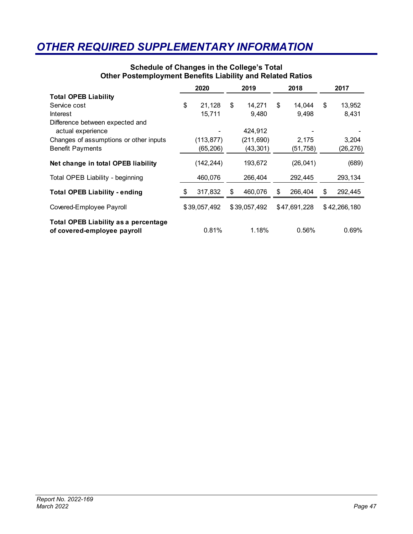## <span id="page-50-0"></span>*OTHER REQUIRED SUPPLEMENTARY INFORMATION*

|                                                                            |    | 2020         |    | 2019         | 2018 |              |    | 2017         |  |
|----------------------------------------------------------------------------|----|--------------|----|--------------|------|--------------|----|--------------|--|
| <b>Total OPEB Liability</b>                                                |    |              |    |              |      |              |    |              |  |
| Service cost                                                               | \$ | 21,128       | \$ | 14,271       | \$   | 14,044       | \$ | 13,952       |  |
| <b>Interest</b>                                                            |    | 15,711       |    | 9,480        |      | 9,498        |    | 8,431        |  |
| Difference between expected and                                            |    |              |    |              |      |              |    |              |  |
| actual experience                                                          |    |              |    | 424,912      |      |              |    |              |  |
| Changes of assumptions or other inputs                                     |    | (113, 877)   |    | (211, 690)   |      | 2,175        |    | 3,204        |  |
| <b>Benefit Payments</b>                                                    |    | (65, 206)    |    | (43, 301)    |      | (51, 758)    |    | (26, 276)    |  |
| Net change in total OPEB liability                                         |    | (142, 244)   |    | 193,672      |      | (26, 041)    |    | (689)        |  |
| Total OPEB Liability - beginning                                           |    | 460,076      |    | 266,404      |      | 292,445      |    | 293,134      |  |
| <b>Total OPEB Liability - ending</b>                                       | S  | 317,832      | S  | 460,076      | \$   | 266,404      | S  | 292,445      |  |
| Covered-Employee Payroll                                                   |    | \$39,057,492 |    | \$39,057,492 |      | \$47,691,228 |    | \$42,266,180 |  |
| <b>Total OPEB Liability as a percentage</b><br>of covered-employee payroll |    | 0.81%        |    | 1.18%        |      | 0.56%        |    | 0.69%        |  |

### **Schedule of Changes in the College's Total Other Postemployment Benefits Liability and Related Ratios**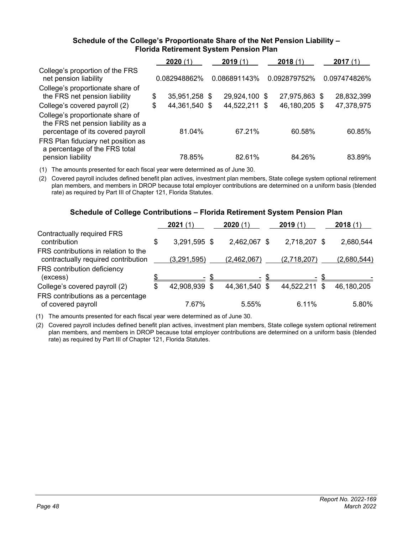### **Schedule of the College's Proportionate Share of the Net Pension Liability – Florida Retirement System Pension Plan**

<span id="page-51-0"></span>

|                                                                                                             | 2020(1)             | 2019(1)       | 2018(1)       | 2017(1)      |
|-------------------------------------------------------------------------------------------------------------|---------------------|---------------|---------------|--------------|
| College's proportion of the FRS<br>net pension liability<br>College's proportionate share of                | 0.082948862%        | 0.086891143%  | 0.092879752%  | 0.097474826% |
| the FRS net pension liability                                                                               | \$<br>35,951,258 \$ | 29,924,100 \$ | 27,975,863 \$ | 28,832,399   |
| College's covered payroll (2)                                                                               | \$<br>44,361,540 \$ | 44,522,211 \$ | 46,180,205 \$ | 47,378,975   |
| College's proportionate share of<br>the FRS net pension liability as a<br>percentage of its covered payroll | 81.04%              | 67.21%        | 60.58%        | 60.85%       |
| FRS Plan fiduciary net position as<br>a percentage of the FRS total<br>pension liability                    | 78.85%              | 82.61%        | 84.26%        | 83.89%       |

(1) The amounts presented for each fiscal year were determined as of June 30.

(2) Covered payroll includes defined benefit plan actives, investment plan members, State college system optional retirement plan members, and members in DROP because total employer contributions are determined on a uniform basis (blended rate) as required by Part III of Chapter 121, Florida Statutes.

### **Schedule of College Contributions – Florida Retirement System Pension Plan**

|                                                                             | 2021(1)             | 2020(1)                  | 2019(1)     |     | 2018(1)     |
|-----------------------------------------------------------------------------|---------------------|--------------------------|-------------|-----|-------------|
| Contractually required FRS<br>contribution                                  | \$<br>3,291,595 \$  | 2,462,067                | 2,718,207   |     | 2,680,544   |
| FRS contributions in relation to the<br>contractually required contribution | (3, 291, 595)       | (2,462,067)              | (2,718,207) |     | (2,680,544) |
| FRS contribution deficiency<br>(excess)                                     |                     | $\overline{\phantom{0}}$ |             |     |             |
| College's covered payroll (2)                                               | \$<br>42,908,939 \$ | 44,361,540 \$            | 44,522,211  | \$. | 46,180,205  |
| FRS contributions as a percentage<br>of covered payroll                     | 7.67%               | 5.55%                    | $6.11\%$    |     | 5.80%       |

(1) The amounts presented for each fiscal year were determined as of June 30.

(2) Covered payroll includes defined benefit plan actives, investment plan members, State college system optional retirement plan members, and members in DROP because total employer contributions are determined on a uniform basis (blended rate) as required by Part III of Chapter 121, Florida Statutes.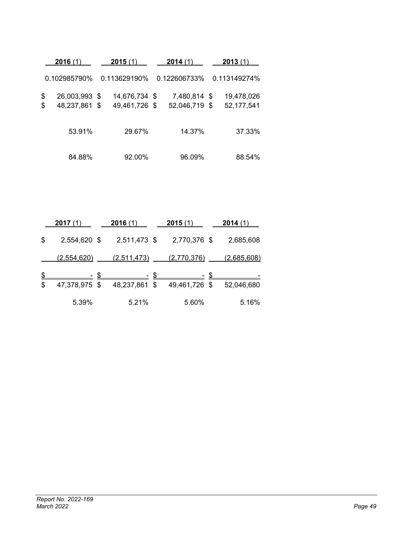|    | 2016(1)      | 2015(1)               | 2014(1)       | 2013 (1      |
|----|--------------|-----------------------|---------------|--------------|
|    | 0.102985790% | 0.113629190%          | 0.122606733%  | 0.113149274% |
| \$ | 26,003,993   | 14,676,734 \$<br>- \$ | 7,480,814 \$  | 19,478,026   |
| \$ | 48,237,861   | 49,461,726 \$<br>- \$ | 52,046,719 \$ | 52,177,541   |
|    | 53.91%       | 29.67%                | 14.37%        | 37.33%       |
|    | 84.88%       | 92.00%                | 96.09%        | 88.54%       |

| 2017(1)             | 2016(1)       |                               | 2015(1)       | 2014(1)     |
|---------------------|---------------|-------------------------------|---------------|-------------|
| \$<br>2,554,620 \$  | 2,511,473 \$  |                               | 2,770,376 \$  | 2,685,608   |
| (2,554,620)         | (2,511,473)   |                               | (2,770,376)   | (2,685,608) |
|                     |               | $-\underline{\underline{\$}}$ |               |             |
| \$<br>47,378,975 \$ | 48,237,861 \$ |                               | 49,461,726 \$ | 52,046,680  |
| 5.39%               | 5.21%         |                               | 5.60%         | 5.16%       |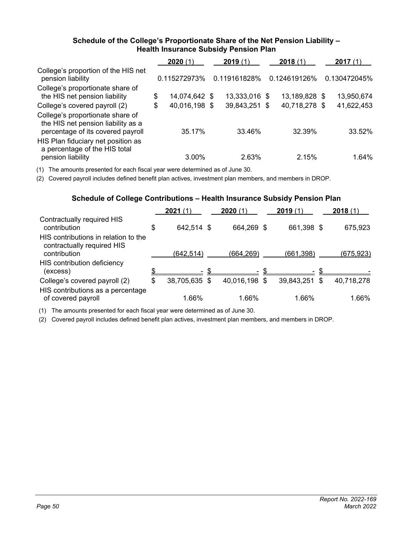### **Schedule of the College's Proportionate Share of the Net Pension Liability – Health Insurance Subsidy Pension Plan**

<span id="page-53-0"></span>

|                                                                                                             | 2020(1)             | 2019(1)       | 2018(1)       | 2017 (1      |
|-------------------------------------------------------------------------------------------------------------|---------------------|---------------|---------------|--------------|
| College's proportion of the HIS net<br>pension liability<br>College's proportionate share of                | 0.115272973%        | 0.119161828%  | 0.124619126%  | 0.130472045% |
| the HIS net pension liability                                                                               | \$<br>14,074,642 \$ | 13,333,016 \$ | 13,189,828 \$ | 13,950,674   |
| College's covered payroll (2)                                                                               | \$<br>40,016,198 \$ | 39,843,251 \$ | 40,718,278 \$ | 41,622,453   |
| College's proportionate share of<br>the HIS net pension liability as a<br>percentage of its covered payroll | 35.17%              | 33.46%        | 32.39%        | 33.52%       |
| HIS Plan fiduciary net position as<br>a percentage of the HIS total<br>pension liability                    | $3.00\%$            | 2.63%         | 2.15%         | 1.64%        |

(1) The amounts presented for each fiscal year were determined as of June 30.

(2) Covered payroll includes defined benefit plan actives, investment plan members, and members in DROP.

### **Schedule of College Contributions – Health Insurance Subsidy Pension Plan**

|                                                                    | 2021(1)                  | 2020(1)             | 2019(1)                  |     | 2018(1)    |
|--------------------------------------------------------------------|--------------------------|---------------------|--------------------------|-----|------------|
| Contractually required HIS<br>contribution                         | \$<br>642,514 \$         | 664,269 \$          | 661,398 \$               |     | 675,923    |
| HIS contributions in relation to the<br>contractually required HIS |                          |                     |                          |     |            |
| contribution                                                       | (642,514)                | (664, 269)          | (661,398)                |     | (675, 923) |
| HIS contribution deficiency                                        |                          |                     |                          |     |            |
| (excess)                                                           | $\overline{\phantom{0}}$ |                     | $\overline{\phantom{0}}$ |     |            |
| College's covered payroll (2)                                      | \$<br>38,705,635         | \$<br>40,016,198 \$ | 39,843,251               | -\$ | 40,718,278 |
| HIS contributions as a percentage<br>of covered payroll            | 1.66%                    | 1.66%               | 1.66%                    |     | 1.66%      |

(1) The amounts presented for each fiscal year were determined as of June 30.

(2) Covered payroll includes defined benefit plan actives, investment plan members, and members in DROP.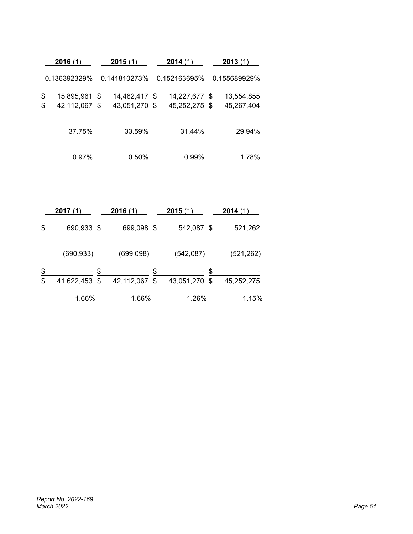|    | 2016(1)      |      | 2015(1)       |      | 2014(1)       | 2013(1)      |
|----|--------------|------|---------------|------|---------------|--------------|
|    | 0.136392329% |      | 0.141810273%  |      | 0.152163695%  | 0.155689929% |
| \$ | 15,895,961   | - \$ | 14,462,417 \$ |      | 14,227,677 \$ | 13,554,855   |
| \$ | 42,112,067   | S    | 43,051,270    | - \$ | 45,252,275 \$ | 45,267,404   |
|    | 37.75%       |      | 33.59%        |      | 31.44%        | 29.94%       |
|    | 0.97%        |      | 0.50%         |      | $0.99\%$      | 1.78%        |

| 2017(1)             | 2016(1)       | 2015(1)       | 2014(1)           |
|---------------------|---------------|---------------|-------------------|
| \$<br>690,933 \$    | 699,098 \$    | 542,087 \$    | 521,262           |
| (690, 933)          | (699,098)     | (542,087)     | (52 <u>1,262)</u> |
|                     |               |               |                   |
| \$<br>41,622,453 \$ | 42,112,067 \$ | 43,051,270 \$ | 45,252,275        |
| 1.66%               | 1.66%         | 1.26%         | 1.15%             |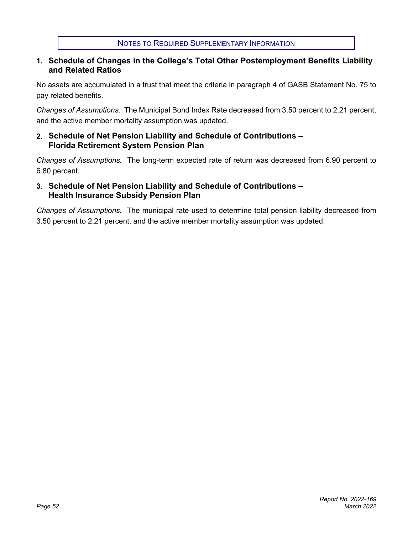### <span id="page-55-0"></span>**1. Schedule of Changes in the College's Total Other Postemployment Benefits Liability and Related Ratios**

No assets are accumulated in a trust that meet the criteria in paragraph 4 of GASB Statement No. 75 to pay related benefits.

*Changes of Assumptions*. The Municipal Bond Index Rate decreased from 3.50 percent to 2.21 percent, and the active member mortality assumption was updated.

### **2. Schedule of Net Pension Liability and Schedule of Contributions – Florida Retirement System Pension Plan**

*Changes of Assumptions.* The long-term expected rate of return was decreased from 6.90 percent to 6.80 percent.

### **3. Schedule of Net Pension Liability and Schedule of Contributions – Health Insurance Subsidy Pension Plan**

*Changes of Assumptions.* The municipal rate used to determine total pension liability decreased from 3.50 percent to 2.21 percent, and the active member mortality assumption was updated.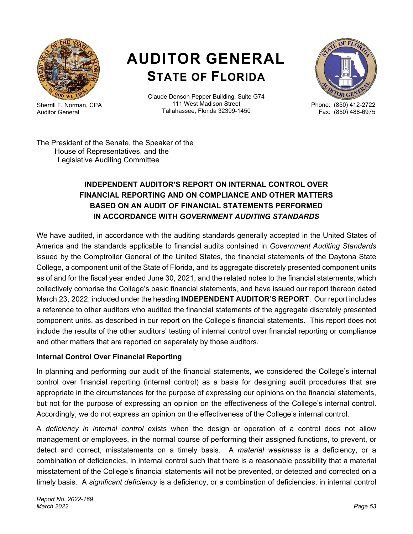<span id="page-56-0"></span>

Sherrill F. Norman, CPA Auditor General

# **AUDITOR GENERAL STATE OF FLORIDA**

Claude Denson Pepper Building, Suite G74 111 West Madison Street Tallahassee, Florida 32399-1450



Phone: (850) 412-2722 Fax: (850) 488-6975

The President of the Senate, the Speaker of the House of Representatives, and the Legislative Auditing Committee

## **INDEPENDENT AUDITOR'S REPORT ON INTERNAL CONTROL OVER FINANCIAL REPORTING AND ON COMPLIANCE AND OTHER MATTERS BASED ON AN AUDIT OF FINANCIAL STATEMENTS PERFORMED IN ACCORDANCE WITH** *GOVERNMENT AUDITING STANDARDS*

We have audited, in accordance with the auditing standards generally accepted in the United States of America and the standards applicable to financial audits contained in *Government Auditing Standards* issued by the Comptroller General of the United States, the financial statements of the Daytona State College, a component unit of the State of Florida, and its aggregate discretely presented component units as of and for the fiscal year ended June 30, 2021, and the related notes to the financial statements, which collectively comprise the College's basic financial statements, and have issued our report thereon dated March 23, 2022, included under the heading **INDEPENDENT AUDITOR'S REPORT**. Our report includes a reference to other auditors who audited the financial statements of the aggregate discretely presented component units, as described in our report on the College's financial statements. This report does not include the results of the other auditors' testing of internal control over financial reporting or compliance and other matters that are reported on separately by those auditors.

### **Internal Control Over Financial Reporting**

In planning and performing our audit of the financial statements, we considered the College's internal control over financial reporting (internal control) as a basis for designing audit procedures that are appropriate in the circumstances for the purpose of expressing our opinions on the financial statements, but not for the purpose of expressing an opinion on the effectiveness of the College's internal control. Accordingly, we do not express an opinion on the effectiveness of the College's internal control.

A *deficiency in internal control* exists when the design or operation of a control does not allow management or employees, in the normal course of performing their assigned functions, to prevent, or detect and correct, misstatements on a timely basis. A *material weakness* is a deficiency, or a combination of deficiencies, in internal control such that there is a reasonable possibility that a material misstatement of the College's financial statements will not be prevented, or detected and corrected on a timely basis. A *significant deficiency* is a deficiency, or a combination of deficiencies, in internal control